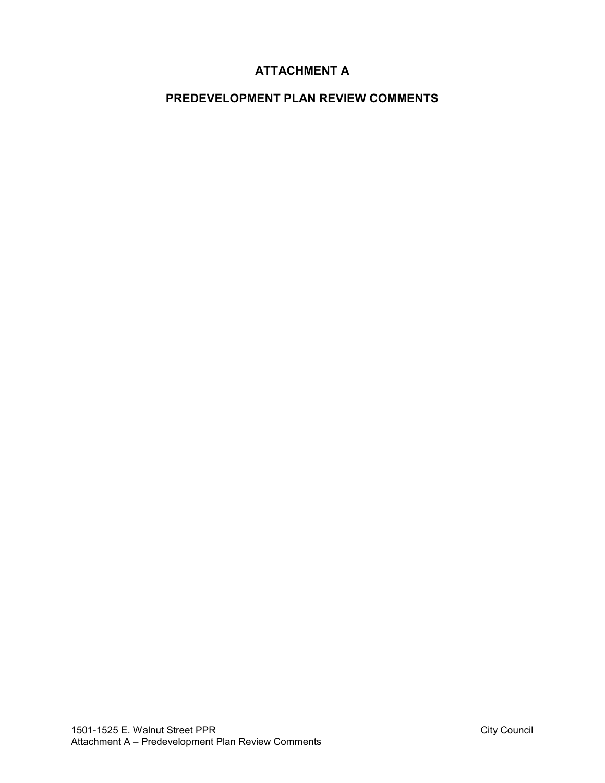# **ATTACHMENT A**

# **PREDEVELOPMENT PLAN REVIEW COMMENTS**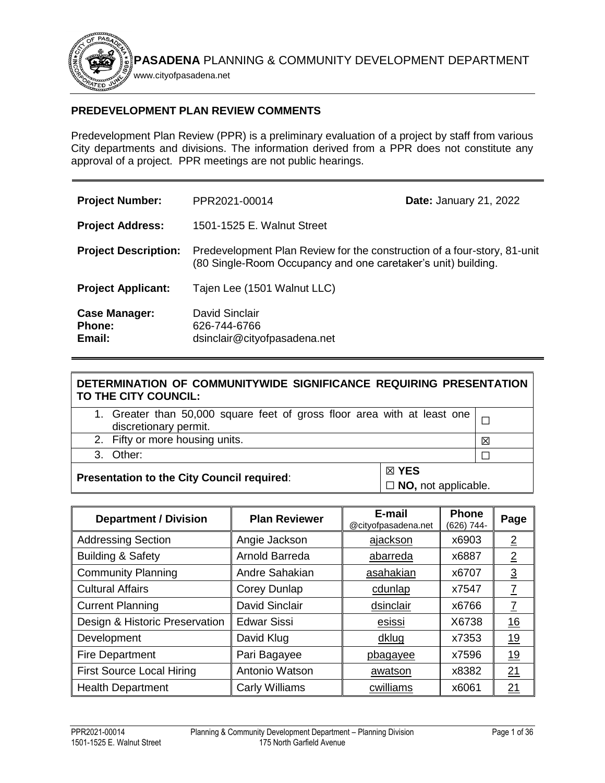

# **PREDEVELOPMENT PLAN REVIEW COMMENTS**

Predevelopment Plan Review (PPR) is a preliminary evaluation of a project by staff from various City departments and divisions. The information derived from a PPR does not constitute any approval of a project. PPR meetings are not public hearings.

| <b>Project Number:</b>                          | PPR2021-00014                                                                                                                             | <b>Date: January 21, 2022</b> |
|-------------------------------------------------|-------------------------------------------------------------------------------------------------------------------------------------------|-------------------------------|
| <b>Project Address:</b>                         | 1501-1525 E. Walnut Street                                                                                                                |                               |
| <b>Project Description:</b>                     | Predevelopment Plan Review for the construction of a four-story, 81-unit<br>(80 Single-Room Occupancy and one caretaker's unit) building. |                               |
| <b>Project Applicant:</b>                       | Tajen Lee (1501 Walnut LLC)                                                                                                               |                               |
| <b>Case Manager:</b><br><b>Phone:</b><br>Email: | David Sinclair<br>626-744-6766<br>dsinclair@cityofpasadena.net                                                                            |                               |

| DETERMINATION OF COMMUNITYWIDE SIGNIFICANCE REQUIRING PRESENTATION<br>TO THE CITY COUNCIL:        |  |   |
|---------------------------------------------------------------------------------------------------|--|---|
| 1. Greater than 50,000 square feet of gross floor area with at least one<br>discretionary permit. |  |   |
| 2. Fifty or more housing units.                                                                   |  | 冈 |
| 3. Other:                                                                                         |  |   |
| ⊠ YES<br><b>Presentation to the City Council required:</b><br>$\Box$ NO, not applicable.          |  |   |

| <b>Department / Division</b>     | <b>Plan Reviewer</b>  | E-mail<br>@cityofpasadena.net | <b>Phone</b><br>(626) 744- | Page           |
|----------------------------------|-----------------------|-------------------------------|----------------------------|----------------|
| <b>Addressing Section</b>        | Angie Jackson         | ajackson                      | x6903                      | $\overline{2}$ |
| <b>Building &amp; Safety</b>     | Arnold Barreda        | abarreda                      | x6887                      | $\overline{2}$ |
| <b>Community Planning</b>        | Andre Sahakian        | asahakian                     | x6707                      | $\overline{3}$ |
| <b>Cultural Affairs</b>          | Corey Dunlap          | cdunlap                       | x7547                      | $\overline{I}$ |
| <b>Current Planning</b>          | <b>David Sinclair</b> | dsinclair                     | x6766                      | $\overline{7}$ |
| Design & Historic Preservation   | <b>Edwar Sissi</b>    | esissi                        | X6738                      | <u> 16</u>     |
| Development                      | David Klug            | dklug                         | x7353                      | <u> 19</u>     |
| <b>Fire Department</b>           | Pari Bagayee          | pbagayee                      | x7596                      | 19             |
| <b>First Source Local Hiring</b> | Antonio Watson        | awatson                       | x8382                      | 21             |
| <b>Health Department</b>         | <b>Carly Williams</b> | cwilliams                     | x6061                      | 21             |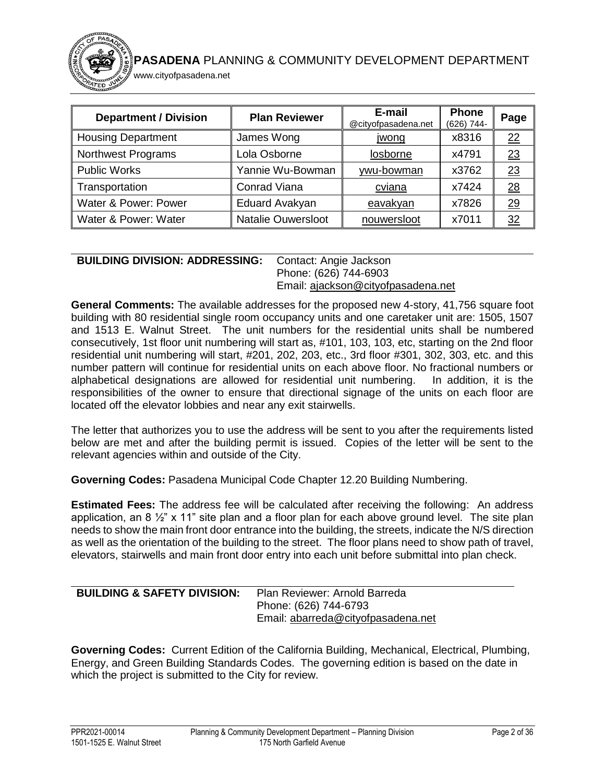| <b>Department / Division</b> | <b>Plan Reviewer</b>      | E-mail<br>@cityofpasadena.net | <b>Phone</b><br>(626) 744- | Page            |
|------------------------------|---------------------------|-------------------------------|----------------------------|-----------------|
| <b>Housing Department</b>    | James Wong                | jwong                         | x8316                      | 22              |
| Northwest Programs           | Lola Osborne              | losborne                      | x4791                      | 23              |
| <b>Public Works</b>          | Yannie Wu-Bowman          | ywu-bowman                    | x3762                      | 23              |
| Transportation               | <b>Conrad Viana</b>       | cviana                        | x7424                      | 28              |
| Water & Power: Power         | <b>Eduard Avakyan</b>     | eavakyan                      | x7826                      | $\overline{29}$ |
| Water & Power: Water         | <b>Natalie Ouwersloot</b> | nouwersloot                   | x7011                      | 32              |

#### <span id="page-2-0"></span>**BUILDING DIVISION: ADDRESSING:** Contact: Angie Jackson Phone: (626) 744-6903

www.cityofpasadena.net

### Email: [ajackson@cityofpasadena.net](mailto:ajackson@cityofpasadena.net)

**General Comments:** The available addresses for the proposed new 4-story, 41,756 square foot building with 80 residential single room occupancy units and one caretaker unit are: 1505, 1507 and 1513 E. Walnut Street. The unit numbers for the residential units shall be numbered consecutively, 1st floor unit numbering will start as, #101, 103, 103, etc, starting on the 2nd floor residential unit numbering will start, #201, 202, 203, etc., 3rd floor #301, 302, 303, etc. and this number pattern will continue for residential units on each above floor. No fractional numbers or alphabetical designations are allowed for residential unit numbering. In addition, it is the responsibilities of the owner to ensure that directional signage of the units on each floor are located off the elevator lobbies and near any exit stairwells.

The letter that authorizes you to use the address will be sent to you after the requirements listed below are met and after the building permit is issued. Copies of the letter will be sent to the relevant agencies within and outside of the City.

**Governing Codes:** Pasadena Municipal Code Chapter 12.20 Building Numbering.

**Estimated Fees:** The address fee will be calculated after receiving the following: An address application, an 8  $\frac{1}{2}$ " x 11" site plan and a floor plan for each above ground level. The site plan needs to show the main front door entrance into the building, the streets, indicate the N/S direction as well as the orientation of the building to the street. The floor plans need to show path of travel, elevators, stairwells and main front door entry into each unit before submittal into plan check.

<span id="page-2-1"></span>

| <b>BUILDING &amp; SAFETY DIVISION:</b> | Plan Reviewer: Arnold Barreda      |
|----------------------------------------|------------------------------------|
|                                        | Phone: (626) 744-6793              |
|                                        | Email: abarreda@cityofpasadena.net |

**Governing Codes:** Current Edition of the California Building, Mechanical, Electrical, Plumbing, Energy, and Green Building Standards Codes. The governing edition is based on the date in which the project is submitted to the City for review.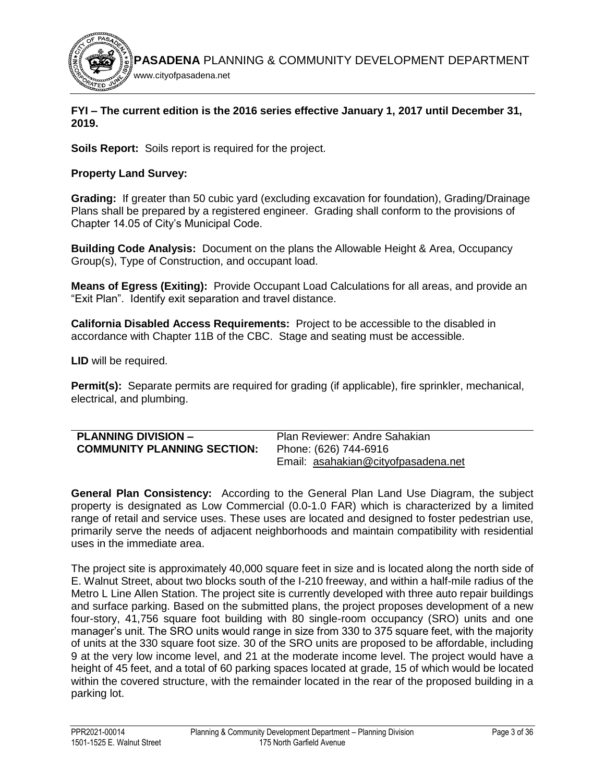

### **FYI – The current edition is the 2016 series effective January 1, 2017 until December 31, 2019.**

**Soils Report:** Soils report is required for the project.

# **Property Land Survey:**

**Grading:** If greater than 50 cubic yard (excluding excavation for foundation), Grading/Drainage Plans shall be prepared by a registered engineer. Grading shall conform to the provisions of Chapter 14.05 of City's Municipal Code.

**Building Code Analysis:** Document on the plans the Allowable Height & Area, Occupancy Group(s), Type of Construction, and occupant load.

**Means of Egress (Exiting):** Provide Occupant Load Calculations for all areas, and provide an "Exit Plan". Identify exit separation and travel distance.

**California Disabled Access Requirements:** Project to be accessible to the disabled in accordance with Chapter 11B of the CBC. Stage and seating must be accessible.

**LID** will be required.

**Permit(s):** Separate permits are required for grading (if applicable), fire sprinkler, mechanical, electrical, and plumbing.

<span id="page-3-0"></span>

| <b>PLANNING DIVISION -</b>         | Plan Reviewer: Andre Sahakian       |
|------------------------------------|-------------------------------------|
| <b>COMMUNITY PLANNING SECTION:</b> | Phone: (626) 744-6916               |
|                                    | Email: asahakian@cityofpasadena.net |

**General Plan Consistency:** According to the General Plan Land Use Diagram, the subject property is designated as Low Commercial (0.0-1.0 FAR) which is characterized by a limited range of retail and service uses. These uses are located and designed to foster pedestrian use, primarily serve the needs of adjacent neighborhoods and maintain compatibility with residential uses in the immediate area.

The project site is approximately 40,000 square feet in size and is located along the north side of E. Walnut Street, about two blocks south of the I-210 freeway, and within a half-mile radius of the Metro L Line Allen Station. The project site is currently developed with three auto repair buildings and surface parking. Based on the submitted plans, the project proposes development of a new four-story, 41,756 square foot building with 80 single-room occupancy (SRO) units and one manager's unit. The SRO units would range in size from 330 to 375 square feet, with the majority of units at the 330 square foot size. 30 of the SRO units are proposed to be affordable, including 9 at the very low income level, and 21 at the moderate income level. The project would have a height of 45 feet, and a total of 60 parking spaces located at grade, 15 of which would be located within the covered structure, with the remainder located in the rear of the proposed building in a parking lot.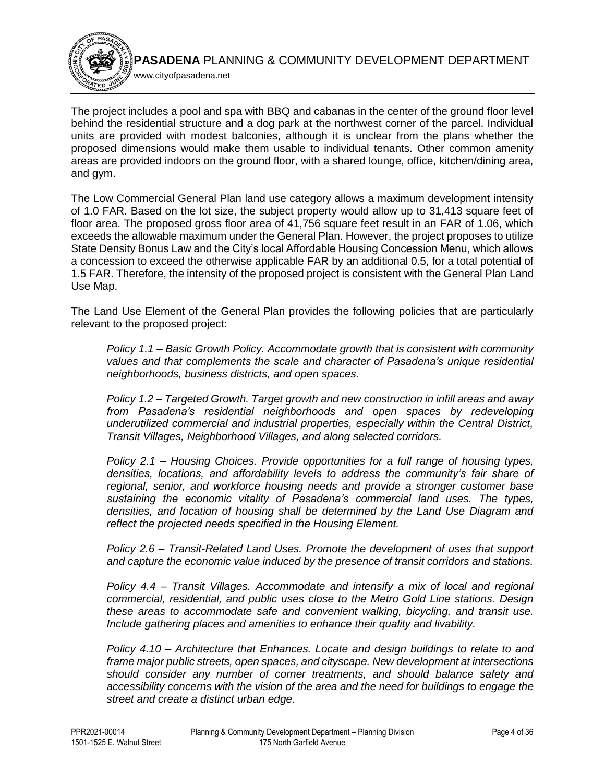

The project includes a pool and spa with BBQ and cabanas in the center of the ground floor level behind the residential structure and a dog park at the northwest corner of the parcel. Individual units are provided with modest balconies, although it is unclear from the plans whether the proposed dimensions would make them usable to individual tenants. Other common amenity areas are provided indoors on the ground floor, with a shared lounge, office, kitchen/dining area, and gym.

The Low Commercial General Plan land use category allows a maximum development intensity of 1.0 FAR. Based on the lot size, the subject property would allow up to 31,413 square feet of floor area. The proposed gross floor area of 41,756 square feet result in an FAR of 1.06, which exceeds the allowable maximum under the General Plan. However, the project proposes to utilize State Density Bonus Law and the City's local Affordable Housing Concession Menu, which allows a concession to exceed the otherwise applicable FAR by an additional 0.5, for a total potential of 1.5 FAR. Therefore, the intensity of the proposed project is consistent with the General Plan Land Use Map.

The Land Use Element of the General Plan provides the following policies that are particularly relevant to the proposed project:

*Policy 1.1 – Basic Growth Policy. Accommodate growth that is consistent with community values and that complements the scale and character of Pasadena's unique residential neighborhoods, business districts, and open spaces.*

*Policy 1.2 – Targeted Growth. Target growth and new construction in infill areas and away from Pasadena's residential neighborhoods and open spaces by redeveloping underutilized commercial and industrial properties, especially within the Central District, Transit Villages, Neighborhood Villages, and along selected corridors.*

*Policy 2.1 – Housing Choices. Provide opportunities for a full range of housing types, densities, locations, and affordability levels to address the community's fair share of regional, senior, and workforce housing needs and provide a stronger customer base sustaining the economic vitality of Pasadena's commercial land uses. The types, densities, and location of housing shall be determined by the Land Use Diagram and reflect the projected needs specified in the Housing Element.*

*Policy 2.6 – Transit-Related Land Uses. Promote the development of uses that support and capture the economic value induced by the presence of transit corridors and stations.*

*Policy 4.4 – Transit Villages. Accommodate and intensify a mix of local and regional commercial, residential, and public uses close to the Metro Gold Line stations. Design these areas to accommodate safe and convenient walking, bicycling, and transit use. Include gathering places and amenities to enhance their quality and livability.*

*Policy 4.10 – Architecture that Enhances. Locate and design buildings to relate to and frame major public streets, open spaces, and cityscape. New development at intersections should consider any number of corner treatments, and should balance safety and accessibility concerns with the vision of the area and the need for buildings to engage the street and create a distinct urban edge.*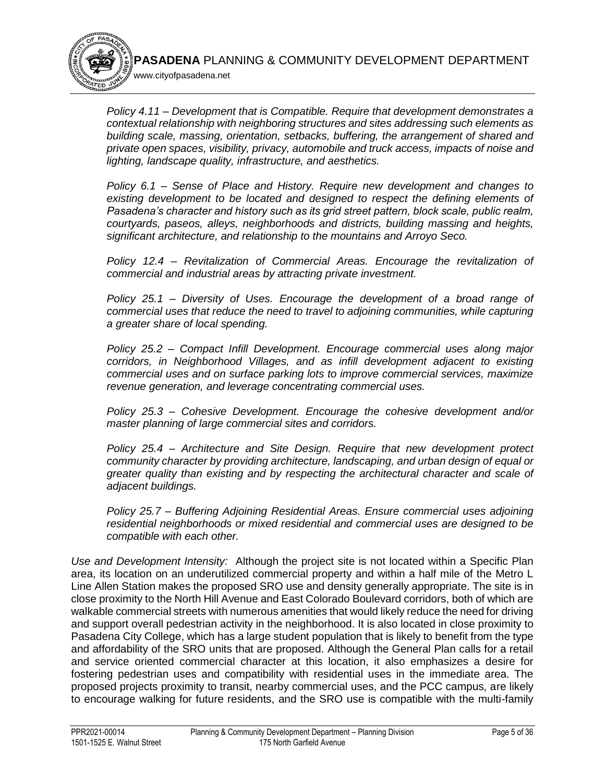

*Policy 4.11 – Development that is Compatible. Require that development demonstrates a contextual relationship with neighboring structures and sites addressing such elements as building scale, massing, orientation, setbacks, buffering, the arrangement of shared and private open spaces, visibility, privacy, automobile and truck access, impacts of noise and lighting, landscape quality, infrastructure, and aesthetics.*

*Policy 6.1 – Sense of Place and History. Require new development and changes to existing development to be located and designed to respect the defining elements of Pasadena's character and history such as its grid street pattern, block scale, public realm, courtyards, paseos, alleys, neighborhoods and districts, building massing and heights, significant architecture, and relationship to the mountains and Arroyo Seco.*

*Policy 12.4 – Revitalization of Commercial Areas. Encourage the revitalization of commercial and industrial areas by attracting private investment.*

*Policy 25.1 – Diversity of Uses. Encourage the development of a broad range of commercial uses that reduce the need to travel to adjoining communities, while capturing a greater share of local spending.*

*Policy 25.2 – Compact Infill Development. Encourage commercial uses along major corridors, in Neighborhood Villages, and as infill development adjacent to existing commercial uses and on surface parking lots to improve commercial services, maximize revenue generation, and leverage concentrating commercial uses.*

*Policy 25.3 – Cohesive Development. Encourage the cohesive development and/or master planning of large commercial sites and corridors.*

*Policy 25.4 – Architecture and Site Design. Require that new development protect community character by providing architecture, landscaping, and urban design of equal or greater quality than existing and by respecting the architectural character and scale of adjacent buildings.*

*Policy 25.7 – Buffering Adjoining Residential Areas. Ensure commercial uses adjoining residential neighborhoods or mixed residential and commercial uses are designed to be compatible with each other.*

*Use and Development Intensity:* Although the project site is not located within a Specific Plan area, its location on an underutilized commercial property and within a half mile of the Metro L Line Allen Station makes the proposed SRO use and density generally appropriate. The site is in close proximity to the North Hill Avenue and East Colorado Boulevard corridors, both of which are walkable commercial streets with numerous amenities that would likely reduce the need for driving and support overall pedestrian activity in the neighborhood. It is also located in close proximity to Pasadena City College, which has a large student population that is likely to benefit from the type and affordability of the SRO units that are proposed. Although the General Plan calls for a retail and service oriented commercial character at this location, it also emphasizes a desire for fostering pedestrian uses and compatibility with residential uses in the immediate area. The proposed projects proximity to transit, nearby commercial uses, and the PCC campus, are likely to encourage walking for future residents, and the SRO use is compatible with the multi-family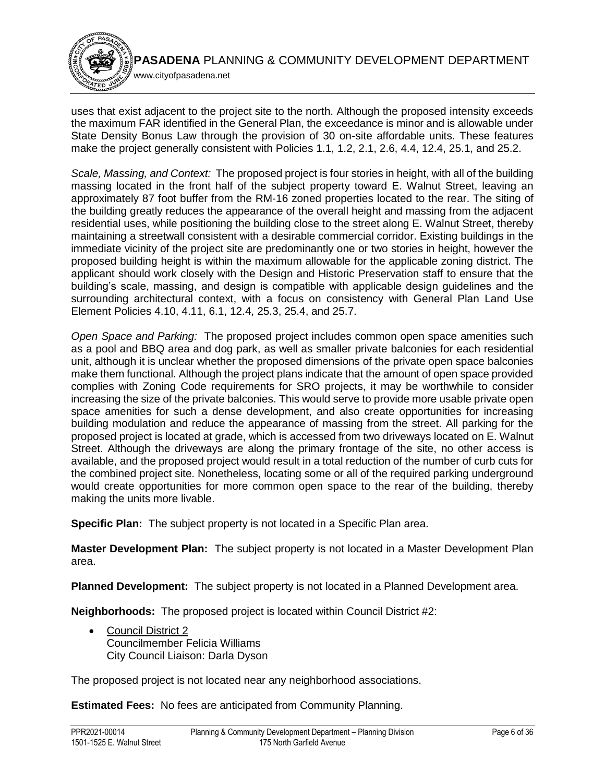www.cityofpasadena.net

uses that exist adjacent to the project site to the north. Although the proposed intensity exceeds the maximum FAR identified in the General Plan, the exceedance is minor and is allowable under State Density Bonus Law through the provision of 30 on-site affordable units. These features make the project generally consistent with Policies 1.1, 1.2, 2.1, 2.6, 4.4, 12.4, 25.1, and 25.2.

*Scale, Massing, and Context:* The proposed project is four stories in height, with all of the building massing located in the front half of the subject property toward E. Walnut Street, leaving an approximately 87 foot buffer from the RM-16 zoned properties located to the rear. The siting of the building greatly reduces the appearance of the overall height and massing from the adjacent residential uses, while positioning the building close to the street along E. Walnut Street, thereby maintaining a streetwall consistent with a desirable commercial corridor. Existing buildings in the immediate vicinity of the project site are predominantly one or two stories in height, however the proposed building height is within the maximum allowable for the applicable zoning district. The applicant should work closely with the Design and Historic Preservation staff to ensure that the building's scale, massing, and design is compatible with applicable design guidelines and the surrounding architectural context, with a focus on consistency with General Plan Land Use Element Policies 4.10, 4.11, 6.1, 12.4, 25.3, 25.4, and 25.7.

*Open Space and Parking:* The proposed project includes common open space amenities such as a pool and BBQ area and dog park, as well as smaller private balconies for each residential unit, although it is unclear whether the proposed dimensions of the private open space balconies make them functional. Although the project plans indicate that the amount of open space provided complies with Zoning Code requirements for SRO projects, it may be worthwhile to consider increasing the size of the private balconies. This would serve to provide more usable private open space amenities for such a dense development, and also create opportunities for increasing building modulation and reduce the appearance of massing from the street. All parking for the proposed project is located at grade, which is accessed from two driveways located on E. Walnut Street. Although the driveways are along the primary frontage of the site, no other access is available, and the proposed project would result in a total reduction of the number of curb cuts for the combined project site. Nonetheless, locating some or all of the required parking underground would create opportunities for more common open space to the rear of the building, thereby making the units more livable.

**Specific Plan:** The subject property is not located in a Specific Plan area.

**Master Development Plan:** The subject property is not located in a Master Development Plan area.

**Planned Development:** The subject property is not located in a Planned Development area.

**Neighborhoods:** The proposed project is located within Council District #2:

 [Council District 2](https://www.cityofpasadena.net/district2/) Councilmember Felicia Williams City Council Liaison: Darla Dyson

The proposed project is not located near any neighborhood associations.

**Estimated Fees:** No fees are anticipated from Community Planning.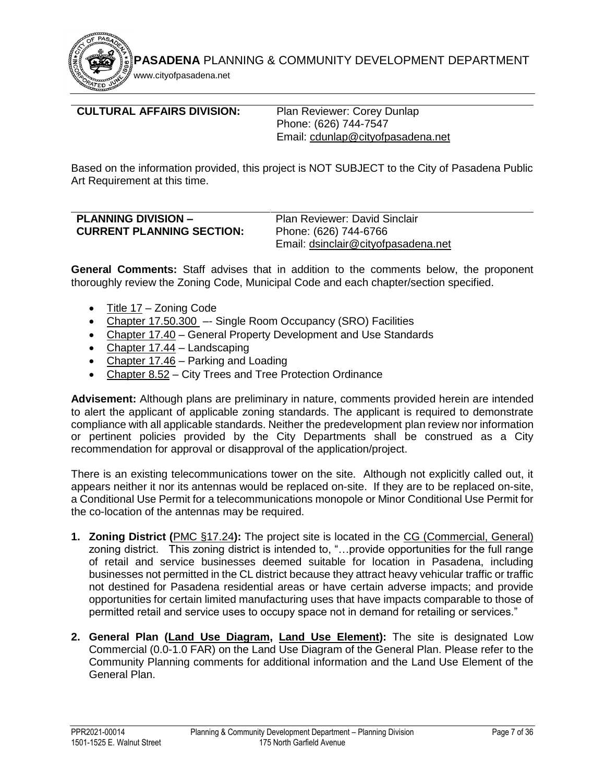www.cityofpasadena.net

# <span id="page-7-0"></span>**CULTURAL AFFAIRS DIVISION:** Plan Reviewer: Corey Dunlap

Phone: (626) 744-7547 Email: [cdunlap@cityofpasadena.net](mailto:cdunlap@cityofpasadena.net)

Based on the information provided, this project is NOT SUBJECT to the City of Pasadena Public Art Requirement at this time.

<span id="page-7-1"></span>

| <b>PLANNING DIVISION -</b>       | <b>Plan Reviewer: David Sinclair</b> |
|----------------------------------|--------------------------------------|
| <b>CURRENT PLANNING SECTION:</b> | Phone: (626) 744-6766                |
|                                  | Email: dsinclair@cityofpasadena.net  |

**General Comments:** Staff advises that in addition to the comments below, the proponent thoroughly review the Zoning Code, Municipal Code and each chapter/section specified.

- [Title 17](https://library.municode.com/ca/pasadena/codes/code_of_ordinances?nodeId=TIT17_ZONING_CODE) Zoning Code
- [Chapter 17.50.300](https://library.municode.com/ca/pasadena/codes/code_of_ordinances?nodeId=TIT17_ZONING_CODE_ART5STSPLAUS_CH17.50STSPLAUS_17.50.300SIROOCSRFA)  Single Room Occupancy (SRO) Facilities
- [Chapter 17.40](https://library.municode.com/ca/pasadena/codes/code_of_ordinances?nodeId=TIT17_ZONING_CODE_ART4SIPLGEDEST_CH17.40GEPRDEUSST) General Property Development and Use Standards
- [Chapter 17.44](https://library.municode.com/ca/pasadena/codes/code_of_ordinances?nodeId=TIT17_ZONING_CODE_ART4SIPLGEDEST_CH17.44LA) Landscaping
- [Chapter 17.46](https://library.municode.com/ca/pasadena/codes/code_of_ordinances?nodeId=TIT17_ZONING_CODE_ART4SIPLGEDEST_CH17.46PALO) Parking and Loading
- [Chapter 8.52](https://library.municode.com/ca/pasadena/codes/code_of_ordinances?nodeId=TIT8HESA_CH8.52CITRTRPROR) City Trees and Tree Protection Ordinance

**Advisement:** Although plans are preliminary in nature, comments provided herein are intended to alert the applicant of applicable zoning standards. The applicant is required to demonstrate compliance with all applicable standards. Neither the predevelopment plan review nor information or pertinent policies provided by the City Departments shall be construed as a City recommendation for approval or disapproval of the application/project.

There is an existing telecommunications tower on the site. Although not explicitly called out, it appears neither it nor its antennas would be replaced on-site. If they are to be replaced on-site, a Conditional Use Permit for a telecommunications monopole or Minor Conditional Use Permit for the co-location of the antennas may be required.

- **1. Zoning District (**[PMC §17.24](https://library.municode.com/ca/pasadena/codes/code_of_ordinances?nodeId=TIT17_ZONING_CODE_ART2ZODIALLAUSZOECST_CH17.24COINZODI)**):** The project site is located in the [CG \(Commercial, General\)](https://library.municode.com/ca/pasadena/codes/code_of_ordinances?nodeId=TIT17_ZONING_CODE_ART2ZODIALLAUSZOECST_CH17.24COINZODI) zoning district. This zoning district is intended to, "…provide opportunities for the full range of retail and service businesses deemed suitable for location in Pasadena, including businesses not permitted in the CL district because they attract heavy vehicular traffic or traffic not destined for Pasadena residential areas or have certain adverse impacts; and provide opportunities for certain limited manufacturing uses that have impacts comparable to those of permitted retail and service uses to occupy space not in demand for retailing or services."
- **2. General Plan [\(Land Use Diagram,](https://ww5.cityofpasadena.net/planning/wp-content/uploads/sites/56/2018/03/Land-Use-Diagram_2016-11-14.pdf) [Land Use Element\)](https://ww5.cityofpasadena.net/planning/wp-content/uploads/sites/56/2017/07/Land-Use-Element-2016-01-25.pdf):** The site is designated Low Commercial (0.0-1.0 FAR) on the Land Use Diagram of the General Plan. Please refer to the Community Planning comments for additional information and the Land Use Element of the General Plan.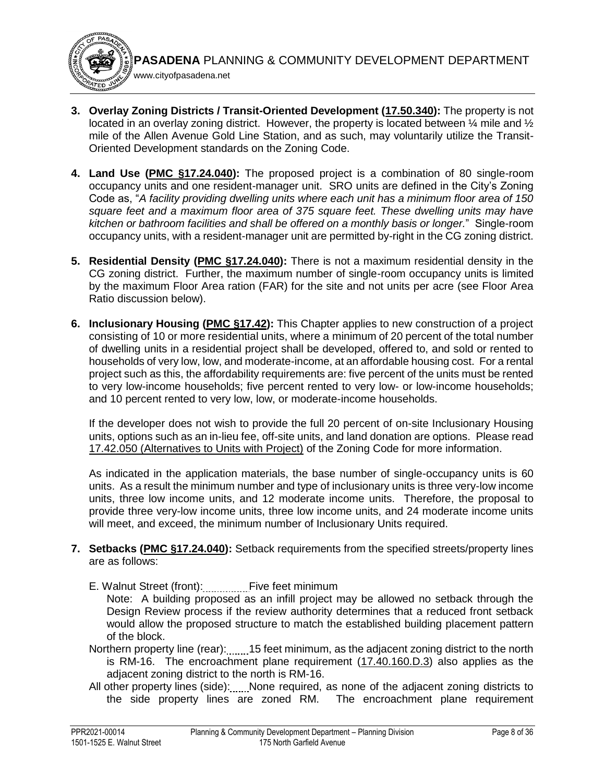**3. Overlay Zoning Districts / Transit-Oriented Development [\(17.50.340\)](https://library.municode.com/ca/pasadena/codes/code_of_ordinances?nodeId=TIT17_ZONING_CODE_ART5STSPLAUS_CH17.50STSPLAUS_17.50.340TRIEDETO):** The property is not located in an overlay zoning district. However, the property is located between  $\mathcal{U}$  mile and  $\mathcal{V}_2$ mile of the Allen Avenue Gold Line Station, and as such, may voluntarily utilize the Transit-Oriented Development standards on the Zoning Code.

www.cityofpasadena.net

- **4. Land Use [\(PMC §17.24.040\)](https://library.municode.com/ca/pasadena/codes/code_of_ordinances?nodeId=TIT17_ZONING_CODE_ART2ZODIALLAUSZOECST_CH17.24COINZODI_17.24.040COINDIGEDEST):** The proposed project is a combination of 80 single-room occupancy units and one resident-manager unit. SRO units are defined in the City's Zoning Code as, "*A facility providing dwelling units where each unit has a minimum floor area of 150 square feet and a maximum floor area of 375 square feet. These dwelling units may have kitchen or bathroom facilities and shall be offered on a monthly basis or longer.*" Single-room occupancy units, with a resident-manager unit are permitted by-right in the CG zoning district.
- **5. Residential Density [\(PMC §17.24.040\)](https://library.municode.com/ca/pasadena/codes/code_of_ordinances?nodeId=TIT17_ZONING_CODE_ART2ZODIALLAUSZOECST_CH17.24COINZODI_17.24.040COINDIGEDEST):** There is not a maximum residential density in the CG zoning district. Further, the maximum number of single-room occupancy units is limited by the maximum Floor Area ration (FAR) for the site and not units per acre (see Floor Area Ratio discussion below).
- **6. Inclusionary Housing [\(PMC §17.42\)](https://library.municode.com/ca/pasadena/codes/code_of_ordinances?nodeId=TIT17_ZONING_CODE_ART4SIPLGEDEST_CH17.42INHORE):** This Chapter applies to new construction of a project consisting of 10 or more residential units, where a minimum of 20 percent of the total number of dwelling units in a residential project shall be developed, offered to, and sold or rented to households of very low, low, and moderate-income, at an affordable housing cost. For a rental project such as this, the affordability requirements are: five percent of the units must be rented to very low-income households; five percent rented to very low- or low-income households; and 10 percent rented to very low, low, or moderate-income households.

If the developer does not wish to provide the full 20 percent of on-site Inclusionary Housing units, options such as an in-lieu fee, off-site units, and land donation are options. Please read [17.42.050 \(Alternatives to Units with Project\)](https://library.municode.com/ca/pasadena/codes/code_of_ordinances?nodeId=TIT17_ZONING_CODE_ART4SIPLGEDEST_CH17.42INHORE_17.42.050ALUNWIPR) of the Zoning Code for more information.

As indicated in the application materials, the base number of single-occupancy units is 60 units. As a result the minimum number and type of inclusionary units is three very-low income units, three low income units, and 12 moderate income units. Therefore, the proposal to provide three very-low income units, three low income units, and 24 moderate income units will meet, and exceed, the minimum number of Inclusionary Units required.

- **7. Setbacks [\(PMC §17.24.040\)](https://library.municode.com/ca/pasadena/codes/code_of_ordinances?nodeId=TIT17_ZONING_CODE_ART2ZODIALLAUSZOECST_CH17.24COINZODI_17.24.040COINDIGEDEST):** Setback requirements from the specified streets/property lines are as follows:
	- E. Walnut Street (front): Five feet minimum

Note: A building proposed as an infill project may be allowed no setback through the Design Review process if the review authority determines that a reduced front setback would allow the proposed structure to match the established building placement pattern of the block.

- Northern property line (rear): 15 feet minimum, as the adjacent zoning district to the north is RM-16. The encroachment plane requirement [\(17.40.160.D.3\)](https://library.municode.com/ca/pasadena/codes/code_of_ordinances?nodeId=TIT17_ZONING_CODE_ART4SIPLGEDEST_CH17.40GEPRDEUSST_17.40.160SEENPLREEX) also applies as the adjacent zoning district to the north is RM-16.
- All other property lines (side): None required, as none of the adjacent zoning districts to the side property lines are zoned RM. The encroachment plane requirement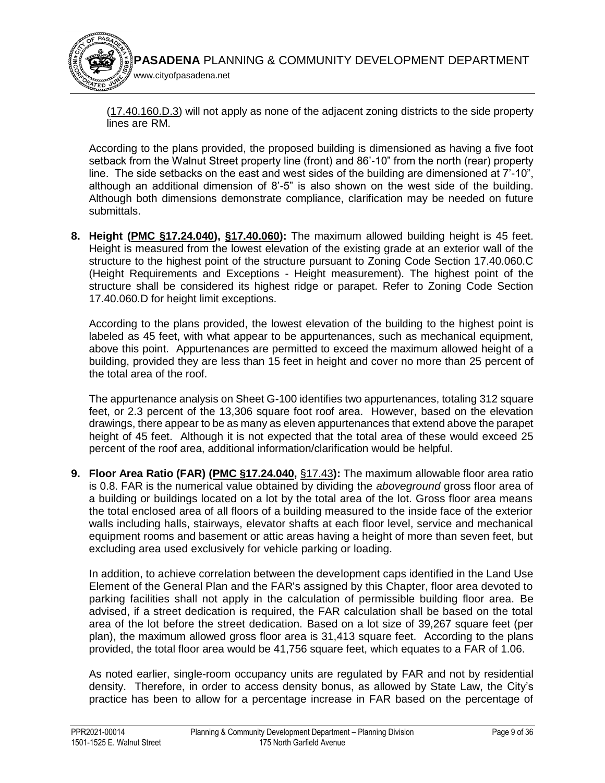

[\(17.40.160.D.3\)](https://library.municode.com/ca/pasadena/codes/code_of_ordinances?nodeId=TIT17_ZONING_CODE_ART4SIPLGEDEST_CH17.40GEPRDEUSST_17.40.160SEENPLREEX) will not apply as none of the adjacent zoning districts to the side property lines are RM.

According to the plans provided, the proposed building is dimensioned as having a five foot setback from the Walnut Street property line (front) and 86'-10" from the north (rear) property line. The side setbacks on the east and west sides of the building are dimensioned at 7'-10", although an additional dimension of 8'-5" is also shown on the west side of the building. Although both dimensions demonstrate compliance, clarification may be needed on future submittals.

**8. Height [\(PMC §17.24.040\)](https://library.municode.com/ca/pasadena/codes/code_of_ordinances?nodeId=TIT17_ZONING_CODE_ART2ZODIALLAUSZOECST_CH17.24COINZODI_17.24.040COINDIGEDEST), [§17.40.060\)](https://library.municode.com/ca/pasadena/codes/code_of_ordinances?nodeId=TIT17_ZONING_CODE_ART4SIPLGEDEST_CH17.40GEPRDEUSST_17.40.060HEREEX):** The maximum allowed building height is 45 feet. Height is measured from the lowest elevation of the existing grade at an exterior wall of the structure to the highest point of the structure pursuant to Zoning Code Section 17.40.060.C (Height Requirements and Exceptions - Height measurement). The highest point of the structure shall be considered its highest ridge or parapet. Refer to Zoning Code Section 17.40.060.D for height limit exceptions.

According to the plans provided, the lowest elevation of the building to the highest point is labeled as 45 feet, with what appear to be appurtenances, such as mechanical equipment, above this point. Appurtenances are permitted to exceed the maximum allowed height of a building, provided they are less than 15 feet in height and cover no more than 25 percent of the total area of the roof.

The appurtenance analysis on Sheet G-100 identifies two appurtenances, totaling 312 square feet, or 2.3 percent of the 13,306 square foot roof area. However, based on the elevation drawings, there appear to be as many as eleven appurtenances that extend above the parapet height of 45 feet. Although it is not expected that the total area of these would exceed 25 percent of the roof area, additional information/clarification would be helpful.

**9. Floor Area Ratio (FAR) [\(PMC §17.24.040,](https://library.municode.com/ca/pasadena/codes/code_of_ordinances?nodeId=TIT17_ZONING_CODE_ART2ZODIALLAUSZOECST_CH17.24COINZODI_17.24.040COINDIGEDEST)** [§17.43](https://library.municode.com/ca/pasadena/codes/code_of_ordinances?nodeId=TIT17_ZONING_CODE_ART4SIPLGEDEST_CH17.43DEBOWAIN)**):** The maximum allowable floor area ratio is 0.8. FAR is the numerical value obtained by dividing the *aboveground* gross floor area of a building or buildings located on a lot by the total area of the lot. Gross floor area means the total enclosed area of all floors of a building measured to the inside face of the exterior walls including halls, stairways, elevator shafts at each floor level, service and mechanical equipment rooms and basement or attic areas having a height of more than seven feet, but excluding area used exclusively for vehicle parking or loading.

In addition, to achieve correlation between the development caps identified in the Land Use Element of the General Plan and the FAR's assigned by this Chapter, floor area devoted to parking facilities shall not apply in the calculation of permissible building floor area. Be advised, if a street dedication is required, the FAR calculation shall be based on the total area of the lot before the street dedication. Based on a lot size of 39,267 square feet (per plan), the maximum allowed gross floor area is 31,413 square feet. According to the plans provided, the total floor area would be 41,756 square feet, which equates to a FAR of 1.06.

As noted earlier, single-room occupancy units are regulated by FAR and not by residential density. Therefore, in order to access density bonus, as allowed by State Law, the City's practice has been to allow for a percentage increase in FAR based on the percentage of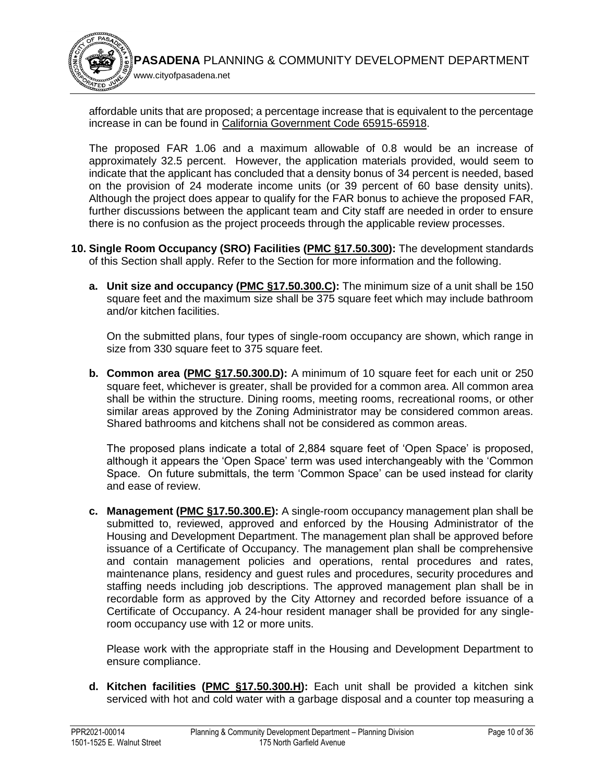

affordable units that are proposed; a percentage increase that is equivalent to the percentage increase in can be found in [California Government Code 65915-65918.](https://leginfo.legislature.ca.gov/faces/codes_displaySection.xhtml?sectionNum=65915&lawCode=GOV)

The proposed FAR 1.06 and a maximum allowable of 0.8 would be an increase of approximately 32.5 percent. However, the application materials provided, would seem to indicate that the applicant has concluded that a density bonus of 34 percent is needed, based on the provision of 24 moderate income units (or 39 percent of 60 base density units). Although the project does appear to qualify for the FAR bonus to achieve the proposed FAR, further discussions between the applicant team and City staff are needed in order to ensure there is no confusion as the project proceeds through the applicable review processes.

- **10. Single Room Occupancy (SRO) Facilities [\(PMC §17.50.300\)](https://library.municode.com/ca/pasadena/codes/code_of_ordinances?nodeId=TIT17_ZONING_CODE_ART5STSPLAUS_CH17.50STSPLAUS_17.50.300SIROOCSRFA):** The development standards of this Section shall apply. Refer to the Section for more information and the following.
	- **a. Unit size and occupancy [\(PMC §17.50.300.C\)](https://library.municode.com/ca/pasadena/codes/code_of_ordinances?nodeId=TIT17_ZONING_CODE_ART5STSPLAUS_CH17.50STSPLAUS_17.50.300SIROOCSRFA):** The minimum size of a unit shall be 150 square feet and the maximum size shall be 375 square feet which may include bathroom and/or kitchen facilities.

On the submitted plans, four types of single-room occupancy are shown, which range in size from 330 square feet to 375 square feet.

**b. Common area (PMC §17.50.300.D):** A minimum of 10 square feet for each unit or 250 square feet, whichever is greater, shall be provided for a common area. All common area shall be within the structure. Dining rooms, meeting rooms, recreational rooms, or other similar areas approved by the Zoning Administrator may be considered common areas. Shared bathrooms and kitchens shall not be considered as common areas.

The proposed plans indicate a total of 2,884 square feet of 'Open Space' is proposed, although it appears the 'Open Space' term was used interchangeably with the 'Common Space. On future submittals, the term 'Common Space' can be used instead for clarity and ease of review.

**c. Management [\(PMC §17.50.300.E](https://library.municode.com/ca/pasadena/codes/code_of_ordinances?nodeId=TIT17_ZONING_CODE_ART5STSPLAUS_CH17.50STSPLAUS_17.50.300SIROOCSRFA)):** A single-room occupancy management plan shall be submitted to, reviewed, approved and enforced by the Housing Administrator of the Housing and Development Department. The management plan shall be approved before issuance of a Certificate of Occupancy. The management plan shall be comprehensive and contain management policies and operations, rental procedures and rates, maintenance plans, residency and guest rules and procedures, security procedures and staffing needs including job descriptions. The approved management plan shall be in recordable form as approved by the City Attorney and recorded before issuance of a Certificate of Occupancy. A 24-hour resident manager shall be provided for any singleroom occupancy use with 12 or more units.

Please work with the appropriate staff in the Housing and Development Department to ensure compliance.

**d. Kitchen facilities [\(PMC §17.50.300.H\)](https://library.municode.com/ca/pasadena/codes/code_of_ordinances?nodeId=TIT17_ZONING_CODE_ART5STSPLAUS_CH17.50STSPLAUS_17.50.300SIROOCSRFA):** Each unit shall be provided a kitchen sink serviced with hot and cold water with a garbage disposal and a counter top measuring a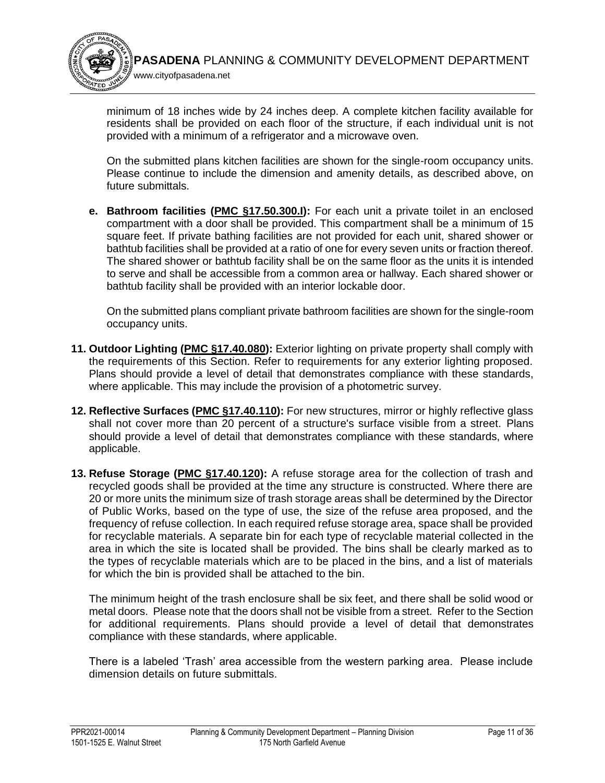

minimum of 18 inches wide by 24 inches deep. A complete kitchen facility available for residents shall be provided on each floor of the structure, if each individual unit is not provided with a minimum of a refrigerator and a microwave oven.

On the submitted plans kitchen facilities are shown for the single-room occupancy units. Please continue to include the dimension and amenity details, as described above, on future submittals.

**e. Bathroom facilities [\(PMC §17.50.300.I\)](https://library.municode.com/ca/pasadena/codes/code_of_ordinances?nodeId=TIT17_ZONING_CODE_ART5STSPLAUS_CH17.50STSPLAUS_17.50.300SIROOCSRFA):** For each unit a private toilet in an enclosed compartment with a door shall be provided. This compartment shall be a minimum of 15 square feet. If private bathing facilities are not provided for each unit, shared shower or bathtub facilities shall be provided at a ratio of one for every seven units or fraction thereof. The shared shower or bathtub facility shall be on the same floor as the units it is intended to serve and shall be accessible from a common area or hallway. Each shared shower or bathtub facility shall be provided with an interior lockable door.

On the submitted plans compliant private bathroom facilities are shown for the single-room occupancy units.

- **11. Outdoor Lighting [\(PMC §17.40.080\)](https://library.municode.com/ca/pasadena/codes/code_of_ordinances?nodeId=TIT17_ZONING_CODE_ART4SIPLGEDEST_CH17.40GEPRDEUSST_17.40.080OULI):** Exterior lighting on private property shall comply with the requirements of this Section. Refer to requirements for any exterior lighting proposed. Plans should provide a level of detail that demonstrates compliance with these standards, where applicable. This may include the provision of a photometric survey.
- **12. Reflective Surfaces [\(PMC §17.40.110\)](https://library.municode.com/ca/pasadena/codes/code_of_ordinances?nodeId=TIT17_ZONING_CODE_ART4SIPLGEDEST_CH17.40GEPRDEUSST_17.40.110RESU):** For new structures, mirror or highly reflective glass shall not cover more than 20 percent of a structure's surface visible from a street. Plans should provide a level of detail that demonstrates compliance with these standards, where applicable.
- **13. Refuse Storage [\(PMC §17.40.120\)](https://library.municode.com/ca/pasadena/codes/code_of_ordinances?nodeId=TIT17_ZONING_CODE_ART4SIPLGEDEST_CH17.40GEPRDEUSST_17.40.120RESTFA):** A refuse storage area for the collection of trash and recycled goods shall be provided at the time any structure is constructed. Where there are 20 or more units the minimum size of trash storage areas shall be determined by the Director of Public Works, based on the type of use, the size of the refuse area proposed, and the frequency of refuse collection. In each required refuse storage area, space shall be provided for recyclable materials. A separate bin for each type of recyclable material collected in the area in which the site is located shall be provided. The bins shall be clearly marked as to the types of recyclable materials which are to be placed in the bins, and a list of materials for which the bin is provided shall be attached to the bin.

The minimum height of the trash enclosure shall be six feet, and there shall be solid wood or metal doors. Please note that the doors shall not be visible from a street. Refer to the Section for additional requirements. Plans should provide a level of detail that demonstrates compliance with these standards, where applicable.

There is a labeled 'Trash' area accessible from the western parking area. Please include dimension details on future submittals.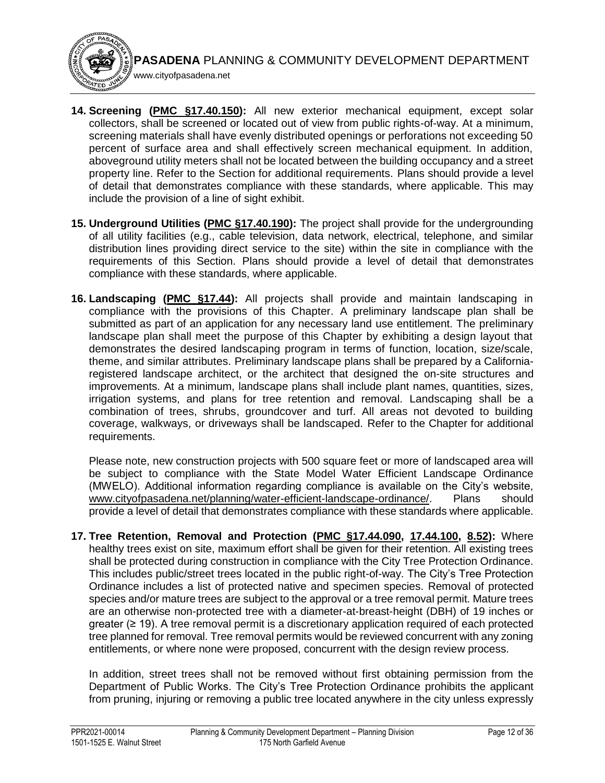**14. Screening [\(PMC §17.40.150\)](https://library.municode.com/ca/pasadena/codes/code_of_ordinances?nodeId=TIT17_ZONING_CODE_ART4SIPLGEDEST_CH17.40GEPRDEUSST_17.40.150SC):** All new exterior mechanical equipment, except solar collectors, shall be screened or located out of view from public rights-of-way. At a minimum, screening materials shall have evenly distributed openings or perforations not exceeding 50 percent of surface area and shall effectively screen mechanical equipment. In addition, aboveground utility meters shall not be located between the building occupancy and a street property line. Refer to the Section for additional requirements. Plans should provide a level of detail that demonstrates compliance with these standards, where applicable. This may include the provision of a line of sight exhibit.

www.cityofpasadena.net

- **15. Underground Utilities [\(PMC §17.40.190\)](https://library.municode.com/ca/pasadena/codes/code_of_ordinances?nodeId=TIT17_ZONING_CODE_ART4SIPLGEDEST_CH17.40GEPRDEUSST_17.40.190UNUT):** The project shall provide for the undergrounding of all utility facilities (e.g., cable television, data network, electrical, telephone, and similar distribution lines providing direct service to the site) within the site in compliance with the requirements of this Section. Plans should provide a level of detail that demonstrates compliance with these standards, where applicable.
- **16. Landscaping [\(PMC §17.44\)](https://library.municode.com/ca/pasadena/codes/code_of_ordinances?nodeId=TIT17_ZONING_CODE_ART4SIPLGEDEST_CH17.44LA):** All projects shall provide and maintain landscaping in compliance with the provisions of this Chapter. A preliminary landscape plan shall be submitted as part of an application for any necessary land [use](http://ww2.cityofpasadena.net/zoning/P-8.html#USE) entitlement. The preliminary landscape plan shall meet the purpose of this Chapter by exhibiting a design layout that demonstrates the desired landscaping program in terms of function, location, size/scale, theme, and similar attributes. Preliminary landscape plans shall be prepared by a Californiaregistered landscape architect, or the architect that designed the [on-site](http://ww2.cityofpasadena.net/zoning/P-8.html#ONSITE) [structures](http://ww2.cityofpasadena.net/zoning/P-8.html#STRUCTURE) and improvements. At a minimum, landscape plans shall include plant names, quantities, sizes, irrigation systems, and plans for tree retention and removal. Landscaping shall be a combination of trees, shrubs, groundcover and turf. All areas not devoted to building coverage, walkways, or driveways shall be landscaped. Refer to the Chapter for additional requirements.

Please note, new construction projects with 500 square feet or more of landscaped area will be subject to compliance with the State Model Water Efficient Landscape Ordinance (MWELO). Additional information regarding compliance is available on the City's website, [www.cityofpasadena.net/planning/water-efficient-landscape-ordinance/.](https://ww5.cityofpasadena.net/planning/water-efficient-landscape-ordinance/) Plans should provide a level of detail that demonstrates compliance with these standards where applicable.

**17. Tree Retention, Removal and Protection [\(PMC §17.44.090,](https://library.municode.com/ca/pasadena/codes/code_of_ordinances?nodeId=TIT17_ZONING_CODE_ART4SIPLGEDEST_CH17.44LA_17.44.090TRRE) [17.44.100,](https://library.municode.com/ca/pasadena/codes/code_of_ordinances?nodeId=TIT17_ZONING_CODE_ART4SIPLGEDEST_CH17.44LA_17.44.100STTR) [8.52\)](https://library.municode.com/ca/pasadena/codes/code_of_ordinances?nodeId=TIT8HESA_CH8.52CITRTRPROR):** Where healthy trees exist on [site,](http://ww2.cityofpasadena.net/zoning/P-8.html#SITE) maximum effort shall be given for their retention. All existing trees shall be protected during construction in compliance with the City Tree Protection Ordinance. This includes public/street trees located in the public right-of-way. The City's Tree Protection Ordinance includes a list of protected native and specimen species. Removal of protected species and/or mature trees are subject to the approval or a tree removal permit. Mature trees are an otherwise non-protected tree with a diameter-at-breast-height (DBH) of 19 inches or greater (≥ 19). A tree removal permit is a discretionary application required of each protected tree planned for removal. Tree removal permits would be reviewed concurrent with any zoning entitlements, or where none were proposed, concurrent with the design review process.

In addition, street trees shall not be removed without first obtaining permission from the [Department](http://ww2.cityofpasadena.net/zoning/P-8.html#DEPARTMENT) of Public Works. The City's Tree Protection Ordinance prohibits the applicant from pruning, injuring or removing a public tree located anywhere in the city unless expressly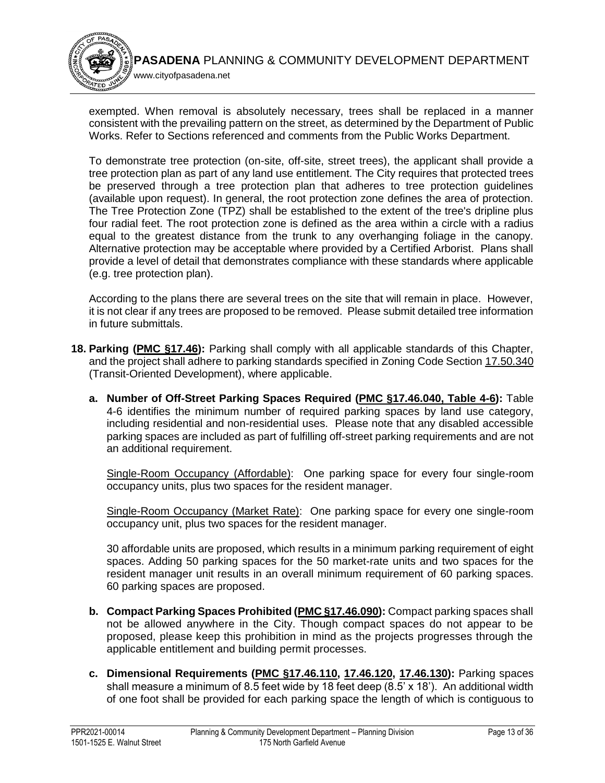

exempted. When removal is absolutely necessary, trees shall be replaced in a manner consistent with the prevailing pattern on the [street,](http://ww2.cityofpasadena.net/zoning/P-8.html#STREET) as determined by the [Department](http://ww2.cityofpasadena.net/zoning/P-8.html#DEPARTMENT) of Public Works. Refer to Sections referenced and comments from the Public Works Department.

To demonstrate tree protection (on-site, off-site, street trees), the applicant shall provide a tree protection plan as part of any land use entitlement. The City requires that protected trees be preserved through a tree protection plan that adheres to tree protection guidelines (available upon request). In general, the root protection zone defines the area of protection. The Tree Protection Zone (TPZ) shall be established to the extent of the tree's dripline plus four radial feet. The root protection zone is defined as the area within a circle with a radius equal to the greatest distance from the trunk to any overhanging foliage in the canopy. Alternative protection may be acceptable where provided by a Certified Arborist. Plans shall provide a level of detail that demonstrates compliance with these standards where applicable (e.g. tree protection plan).

According to the plans there are several trees on the site that will remain in place. However, it is not clear if any trees are proposed to be removed. Please submit detailed tree information in future submittals.

- **18. Parking [\(PMC §17.46\)](https://library.municode.com/ca/pasadena/codes/code_of_ordinances?nodeId=TIT17_ZONING_CODE_ART4SIPLGEDEST_CH17.46PALO_17.46.250CEDIADSTPA):** Parking shall comply with all applicable standards of this Chapter, and the project shall adhere to parking standards specified in Zoning Code Section [17.50.340](https://library.municode.com/ca/pasadena/codes/code_of_ordinances?nodeId=TIT17_ZONING_CODE_ART5STSPLAUS_CH17.50STSPLAUS_17.50.340TRIEDETO) (Transit-Oriented Development), where applicable.
	- **a. Number of Off-Street Parking Spaces Required [\(PMC §17.46.040, Table 4-6\)](https://library.municode.com/ca/pasadena/codes/code_of_ordinances?nodeId=TIT17_ZONING_CODE_ART4SIPLGEDEST_CH17.46PALO_17.46.040NUOREPASPRE):** Table 4-6 identifies the minimum number of required parking spaces by land use category, including residential and non-residential uses. Please note that any disabled accessible parking spaces are included as part of fulfilling off-street parking requirements and are not an additional requirement.

Single-Room Occupancy (Affordable): One parking space for every four single-room occupancy units, plus two spaces for the resident manager.

Single-Room Occupancy (Market Rate): One parking space for every one single-room occupancy unit, plus two spaces for the resident manager.

30 affordable units are proposed, which results in a minimum parking requirement of eight spaces. Adding 50 parking spaces for the 50 market-rate units and two spaces for the resident manager unit results in an overall minimum requirement of 60 parking spaces. 60 parking spaces are proposed.

- **b. Compact Parking Spaces Prohibited [\(PMC §17.46.090\)](https://library.municode.com/ca/pasadena/codes/code_of_ordinances?nodeId=TIT17_ZONING_CODE_ART4SIPLGEDEST_CH17.46PALO_17.46.090COPASPPR):** Compact parking spaces shall not be allowed anywhere in the City. Though compact spaces do not appear to be proposed, please keep this prohibition in mind as the projects progresses through the applicable entitlement and building permit processes.
- **c. Dimensional Requirements [\(PMC §17.46.110,](https://library.municode.com/ca/pasadena/codes/code_of_ordinances?nodeId=TIT17_ZONING_CODE_ART4SIPLGEDEST_CH17.46PALO_17.46.110PASPDI) [17.46.120,](https://library.municode.com/ca/pasadena/codes/code_of_ordinances?nodeId=TIT17_ZONING_CODE_ART4SIPLGEDEST_CH17.46PALO_17.46.120APDIRE) [17.46.130\)](https://library.municode.com/ca/pasadena/codes/code_of_ordinances?nodeId=TIT17_ZONING_CODE_ART4SIPLGEDEST_CH17.46PALO_17.46.130AIDI):** Parking spaces shall measure a minimum of 8.5 feet wide by 18 feet deep  $(8.5' \times 18')$ . An additional width of one foot shall be provided for each [parking space](http://ww2.cityofpasadena.net/zoning/P-8.html#PARKINGSPACE) the length of which is contiguous to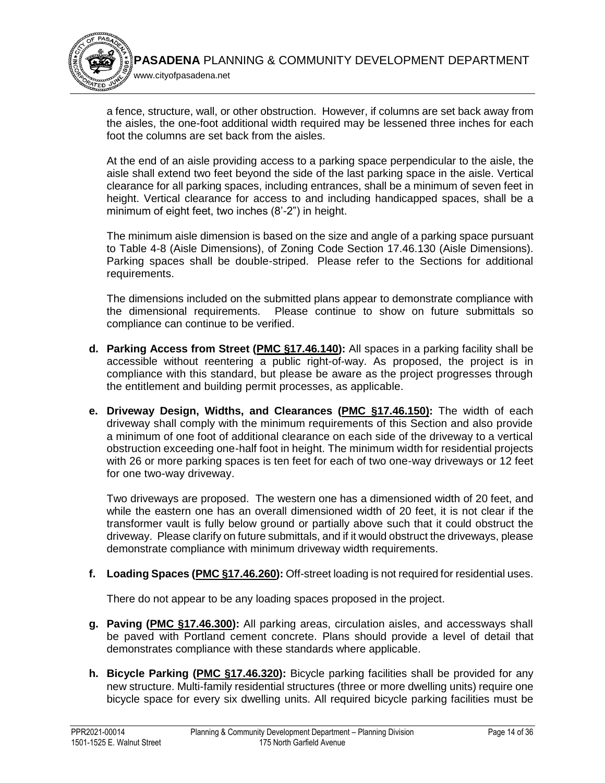

a fence, [structure,](http://ww2.cityofpasadena.net/zoning/P-8.html#STRUCTURE) wall, or other obstruction. However, if columns are [set back](http://ww2.cityofpasadena.net/zoning/P-8.html#SETBACK) away from the aisles, the one-foot additional width required may be lessened three inches for each foot the columns are [set back](http://ww2.cityofpasadena.net/zoning/P-8.html#SETBACK) from the aisles.

At the end of an aisle providing access to a [parking space](http://ww2.cityofpasadena.net/zoning/P-8.html#PARKINGSPACE) perpendicular to the aisle, the aisle shall extend two feet beyond the side of the last [parking space](http://ww2.cityofpasadena.net/zoning/P-8.html#PARKINGSPACE) in the aisle. Vertical clearance for all [parking spaces,](http://ww2.cityofpasadena.net/zoning/P-8.html#PARKINGSPACE) including entrances, shall be a minimum of seven feet in [height.](http://ww2.cityofpasadena.net/zoning/P-8.html#HEIGHT) Vertical clearance for access to and including handicapped spaces, shall be a minimum of eight feet, two inches (8'-2") in [height.](http://ww2.cityofpasadena.net/zoning/P-8.html#HEIGHT)

The minimum aisle dimension is based on the size and angle of a parking space pursuant to Table 4-8 (Aisle Dimensions), of Zoning Code Section 17.46.130 (Aisle Dimensions). Parking spaces shall be double-striped. Please refer to the Sections for additional requirements.

The dimensions included on the submitted plans appear to demonstrate compliance with the dimensional requirements. Please continue to show on future submittals so compliance can continue to be verified.

- **d. Parking Access from Street [\(PMC §17.46.140\)](https://library.municode.com/ca/pasadena/codes/code_of_ordinances?nodeId=TIT17_ZONING_CODE_ART4SIPLGEDEST_CH17.46PALO_17.46.140PAACST):** All spaces in a parking facility shall be accessible without reentering a public right-of-way. As proposed, the project is in compliance with this standard, but please be aware as the project progresses through the entitlement and building permit processes, as applicable.
- **e. Driveway Design, Widths, and Clearances [\(PMC §17.46.150\)](https://library.municode.com/ca/pasadena/codes/code_of_ordinances?nodeId=TIT17_ZONING_CODE_ART4SIPLGEDEST_CH17.46PALO_17.46.150DRDEWICL):** The width of each driveway shall comply with the minimum requirements of this Section and also provide a minimum of one foot of additional clearance on each side of the driveway to a vertical obstruction exceeding one-half foot in height. The minimum width for residential projects with 26 or more parking spaces is ten feet for each of two one-way driveways or 12 feet for one two-way driveway.

Two driveways are proposed. The western one has a dimensioned width of 20 feet, and while the eastern one has an overall dimensioned width of 20 feet, it is not clear if the transformer vault is fully below ground or partially above such that it could obstruct the driveway. Please clarify on future submittals, and if it would obstruct the driveways, please demonstrate compliance with minimum driveway width requirements.

**f. Loading Spaces [\(PMC §17.46.260\)](https://library.municode.com/ca/pasadena/codes/code_of_ordinances?nodeId=TIT17_ZONING_CODE_ART4SIPLGEDEST_CH17.46PALO_17.46.260NULODEORELOSP):** Off-street loading is not required for residential uses.

There do not appear to be any loading spaces proposed in the project.

- **g. Paving [\(PMC §17.46.300\)](https://library.municode.com/ca/pasadena/codes/code_of_ordinances?nodeId=TIT17_ZONING_CODE_ART4SIPLGEDEST_CH17.46PALO_17.46.300PA):** All parking areas, circulation aisles, and accessways shall be paved with Portland cement concrete. Plans should provide a level of detail that demonstrates compliance with these standards where applicable.
- **h. Bicycle Parking [\(PMC §17.46.320\)](https://library.municode.com/ca/pasadena/codes/code_of_ordinances?nodeId=TIT17_ZONING_CODE_ART4SIPLGEDEST_CH17.46PALO_17.46.320BIPAST):** Bicycle parking facilities shall be provided for any new structure. Multi-family residential structures (three or more dwelling units) require one bicycle space for every six dwelling units. All required bicycle parking facilities must be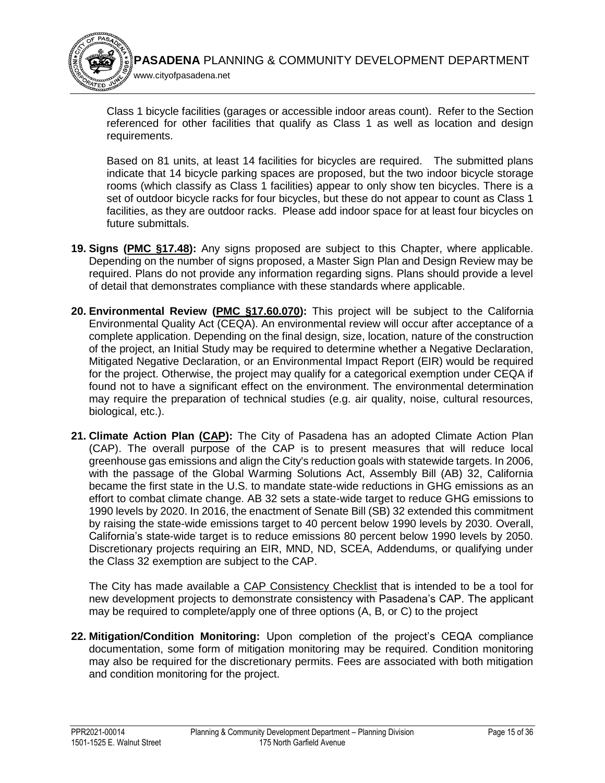

Class 1 bicycle facilities (garages or accessible indoor areas count). Refer to the Section referenced for other facilities that qualify as Class 1 as well as location and design requirements.

Based on 81 units, at least 14 facilities for bicycles are required. The submitted plans indicate that 14 bicycle parking spaces are proposed, but the two indoor bicycle storage rooms (which classify as Class 1 facilities) appear to only show ten bicycles. There is a set of outdoor bicycle racks for four bicycles, but these do not appear to count as Class 1 facilities, as they are outdoor racks. Please add indoor space for at least four bicycles on future submittals.

- **19. Signs [\(PMC §17.48\)](https://library.municode.com/ca/pasadena/codes/code_of_ordinances?nodeId=TIT17_ZONING_CODE_ART4SIPLGEDEST_CH17.48SI):** Any signs proposed are subject to this Chapter, where applicable. Depending on the number of signs proposed, a Master Sign Plan and Design Review may be required. Plans do not provide any information regarding signs. Plans should provide a level of detail that demonstrates compliance with these standards where applicable.
- **20. Environmental Review [\(PMC §17.60.070\)](https://library.municode.com/ca/pasadena/codes/code_of_ordinances?nodeId=TIT17_ZONING_CODE_ART6LAUSDEPEPR_CH17.60APFIPR_17.60.070ENAS):** This project will be subject to the California Environmental Quality Act (CEQA). An environmental review will occur after acceptance of a complete application. Depending on the final design, size, location, nature of the construction of the project, an Initial Study may be required to determine whether a Negative Declaration, Mitigated Negative Declaration, or an Environmental Impact Report (EIR) would be required for the project. Otherwise, the project may qualify for a categorical exemption under CEQA if found not to have a significant effect on the environment. The environmental determination may require the preparation of technical studies (e.g. air quality, noise, cultural resources, biological, etc.).
- **21. Climate Action Plan [\(CAP\)](https://ww5.cityofpasadena.net/planning/wp-content/uploads/sites/56/2018/03/Final-Pasadena-Climate-Action-Plan_3.5.2018.pdf):** The City of Pasadena has an adopted Climate Action Plan (CAP). The overall purpose of the CAP is to present measures that will reduce local greenhouse gas emissions and align the City's reduction goals with statewide targets. In 2006, with the passage of the Global Warming Solutions Act, Assembly Bill (AB) 32, California became the first state in the U.S. to mandate state-wide reductions in GHG emissions as an effort to combat climate change. AB 32 sets a state-wide target to reduce GHG emissions to 1990 levels by 2020. In 2016, the enactment of Senate Bill (SB) 32 extended this commitment by raising the state-wide emissions target to 40 percent below 1990 levels by 2030. Overall, California's state-wide target is to reduce emissions 80 percent below 1990 levels by 2050. Discretionary projects requiring an EIR, MND, ND, SCEA, Addendums, or qualifying under the Class 32 exemption are subject to the CAP.

The City has made available a [CAP Consistency Checklist](https://ww5.cityofpasadena.net/planning/wp-content/uploads/sites/56/2017/12/D-CAP-Consistency-Checklist.pdf) that is intended to be a tool for new development projects to demonstrate consistency with Pasadena's CAP. The applicant may be required to complete/apply one of three options (A, B, or C) to the project

**22. Mitigation/Condition Monitoring:** Upon completion of the project's CEQA compliance documentation, some form of mitigation monitoring may be required. Condition monitoring may also be required for the discretionary permits. Fees are associated with both mitigation and condition monitoring for the project.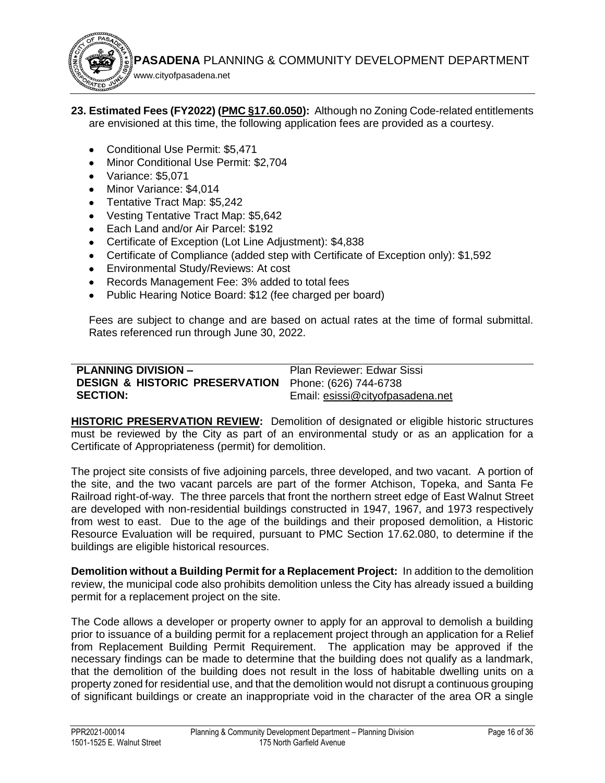www.cityofpasadena.net

**23. Estimated Fees (FY2022) [\(PMC §17.60.050\)](https://library.municode.com/ca/pasadena/codes/code_of_ordinances?nodeId=TIT17_ZONING_CODE_ART6LAUSDEPEPR_CH17.60APFIPR_17.60.050APFE):** Although no Zoning Code-related entitlements are envisioned at this time, the following application fees are provided as a courtesy.

- Conditional Use Permit: \$5,471
- **Minor Conditional Use Permit: \$2,704**
- Variance: \$5,071
- Minor Variance: \$4,014
- Tentative Tract Map: \$5.242
- Vesting Tentative Tract Map: \$5,642
- Each Land and/or Air Parcel: \$192
- Certificate of Exception (Lot Line Adjustment): \$4,838
- Certificate of Compliance (added step with Certificate of Exception only): \$1,592
- **•** Environmental Study/Reviews: At cost
- Records Management Fee: 3% added to total fees
- Public Hearing Notice Board: \$12 (fee charged per board)

Fees are subject to change and are based on actual rates at the time of formal submittal. Rates referenced run through June 30, 2022.

<span id="page-16-0"></span>

| <b>PLANNING DIVISION -</b>                                      | Plan Reviewer: Edwar Sissi       |
|-----------------------------------------------------------------|----------------------------------|
| <b>DESIGN &amp; HISTORIC PRESERVATION</b> Phone: (626) 744-6738 |                                  |
| <b>SECTION:</b>                                                 | Email: esissi@cityofpasadena.net |

**HISTORIC PRESERVATION REVIEW:** Demolition of designated or eligible historic structures must be reviewed by the City as part of an environmental study or as an application for a Certificate of Appropriateness (permit) for demolition.

The project site consists of five adjoining parcels, three developed, and two vacant. A portion of the site, and the two vacant parcels are part of the former Atchison, Topeka, and Santa Fe Railroad right-of-way. The three parcels that front the northern street edge of East Walnut Street are developed with non-residential buildings constructed in 1947, 1967, and 1973 respectively from west to east. Due to the age of the buildings and their proposed demolition, a Historic Resource Evaluation will be required, pursuant to PMC Section 17.62.080, to determine if the buildings are eligible historical resources.

**Demolition without a Building Permit for a Replacement Project:** In addition to the demolition review, the municipal code also prohibits demolition unless the City has already issued a building permit for a replacement project on the site.

The Code allows a developer or property owner to apply for an approval to demolish a building prior to issuance of a building permit for a replacement project through an application for a Relief from Replacement Building Permit Requirement. The application may be approved if the necessary findings can be made to determine that the building does not qualify as a landmark, that the demolition of the building does not result in the loss of habitable dwelling units on a property zoned for residential use, and that the demolition would not disrupt a continuous grouping of significant buildings or create an inappropriate void in the character of the area OR a single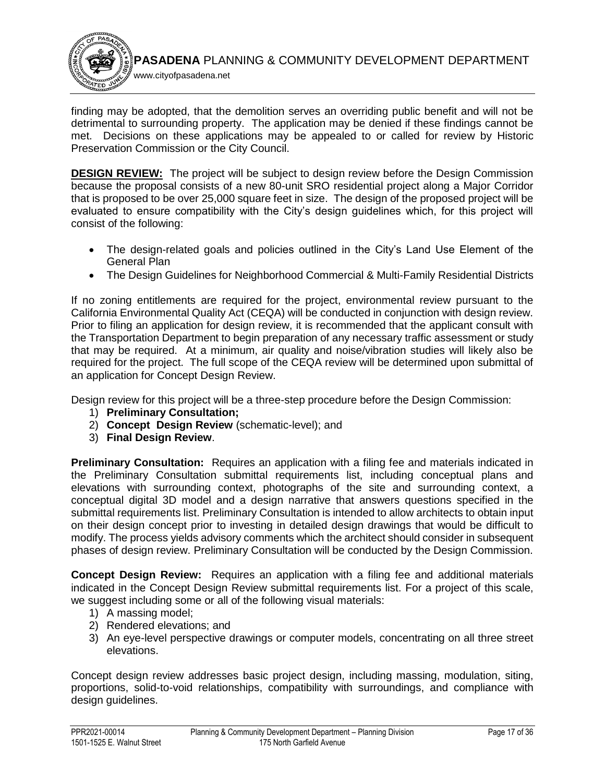

finding may be adopted, that the demolition serves an overriding public benefit and will not be detrimental to surrounding property. The application may be denied if these findings cannot be met. Decisions on these applications may be appealed to or called for review by Historic Preservation Commission or the City Council.

**DESIGN REVIEW:** The project will be subject to design review before the Design Commission because the proposal consists of a new 80-unit SRO residential project along a Major Corridor that is proposed to be over 25,000 square feet in size. The design of the proposed project will be evaluated to ensure compatibility with the City's design guidelines which, for this project will consist of the following:

- The design-related goals and policies outlined in the City's Land Use Element of the General Plan
- The Design Guidelines for Neighborhood Commercial & Multi-Family Residential Districts

If no zoning entitlements are required for the project, environmental review pursuant to the California Environmental Quality Act (CEQA) will be conducted in conjunction with design review. Prior to filing an application for design review, it is recommended that the applicant consult with the Transportation Department to begin preparation of any necessary traffic assessment or study that may be required. At a minimum, air quality and noise/vibration studies will likely also be required for the project. The full scope of the CEQA review will be determined upon submittal of an application for Concept Design Review.

Design review for this project will be a three-step procedure before the Design Commission:

- 1) **Preliminary Consultation;**
- 2) **Concept Design Review** (schematic-level); and
- 3) **Final Design Review**.

**Preliminary Consultation:** Requires an application with a filing fee and materials indicated in the Preliminary Consultation submittal requirements list, including conceptual plans and elevations with surrounding context, photographs of the site and surrounding context, a conceptual digital 3D model and a design narrative that answers questions specified in the submittal requirements list. Preliminary Consultation is intended to allow architects to obtain input on their design concept prior to investing in detailed design drawings that would be difficult to modify. The process yields advisory comments which the architect should consider in subsequent phases of design review. Preliminary Consultation will be conducted by the Design Commission.

**Concept Design Review:** Requires an application with a filing fee and additional materials indicated in the Concept Design Review submittal requirements list. For a project of this scale, we suggest including some or all of the following visual materials:

- 1) A massing model;
- 2) Rendered elevations; and
- 3) An eye-level perspective drawings or computer models, concentrating on all three street elevations.

Concept design review addresses basic project design, including massing, modulation, siting, proportions, solid-to-void relationships, compatibility with surroundings, and compliance with design guidelines.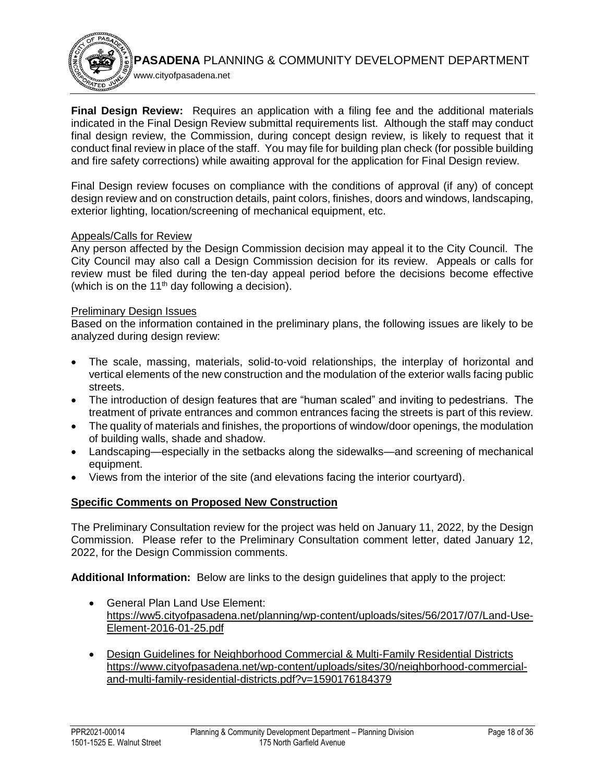**Final Design Review:** Requires an application with a filing fee and the additional materials indicated in the Final Design Review submittal requirements list. Although the staff may conduct final design review, the Commission, during concept design review, is likely to request that it conduct final review in place of the staff. You may file for building plan check (for possible building and fire safety corrections) while awaiting approval for the application for Final Design review.

Final Design review focuses on compliance with the conditions of approval (if any) of concept design review and on construction details, paint colors, finishes, doors and windows, landscaping, exterior lighting, location/screening of mechanical equipment, etc.

### Appeals/Calls for Review

www.cityofpasadena.net

Any person affected by the Design Commission decision may appeal it to the City Council. The City Council may also call a Design Commission decision for its review. Appeals or calls for review must be filed during the ten-day appeal period before the decisions become effective (which is on the 11<sup>th</sup> day following a decision).

#### Preliminary Design Issues

Based on the information contained in the preliminary plans, the following issues are likely to be analyzed during design review:

- The scale, massing, materials, solid-to-void relationships, the interplay of horizontal and vertical elements of the new construction and the modulation of the exterior walls facing public streets.
- The introduction of design features that are "human scaled" and inviting to pedestrians. The treatment of private entrances and common entrances facing the streets is part of this review.
- The quality of materials and finishes, the proportions of window/door openings, the modulation of building walls, shade and shadow.
- Landscaping—especially in the setbacks along the sidewalks—and screening of mechanical equipment.
- Views from the interior of the site (and elevations facing the interior courtyard).

### **Specific Comments on Proposed New Construction**

The Preliminary Consultation review for the project was held on January 11, 2022, by the Design Commission. Please refer to the Preliminary Consultation comment letter, dated January 12, 2022, for the Design Commission comments.

**Additional Information:** Below are links to the design guidelines that apply to the project:

- General Plan Land Use Element: [https://ww5.cityofpasadena.net/planning/wp-content/uploads/sites/56/2017/07/Land-Use-](https://ww5.cityofpasadena.net/planning/wp-content/uploads/sites/56/2017/07/Land-Use-Element-2016-01-25.pdf)[Element-2016-01-25.pdf](https://ww5.cityofpasadena.net/planning/wp-content/uploads/sites/56/2017/07/Land-Use-Element-2016-01-25.pdf)
- Design Guidelines for Neighborhood Commercial & Multi-Family Residential Districts [https://www.cityofpasadena.net/wp-content/uploads/sites/30/neighborhood-commercial](https://www.cityofpasadena.net/wp-content/uploads/sites/30/neighborhood-commercial-and-multi-family-residential-districts.pdf?v=1590176184379)[and-multi-family-residential-districts.pdf?v=1590176184379](https://www.cityofpasadena.net/wp-content/uploads/sites/30/neighborhood-commercial-and-multi-family-residential-districts.pdf?v=1590176184379)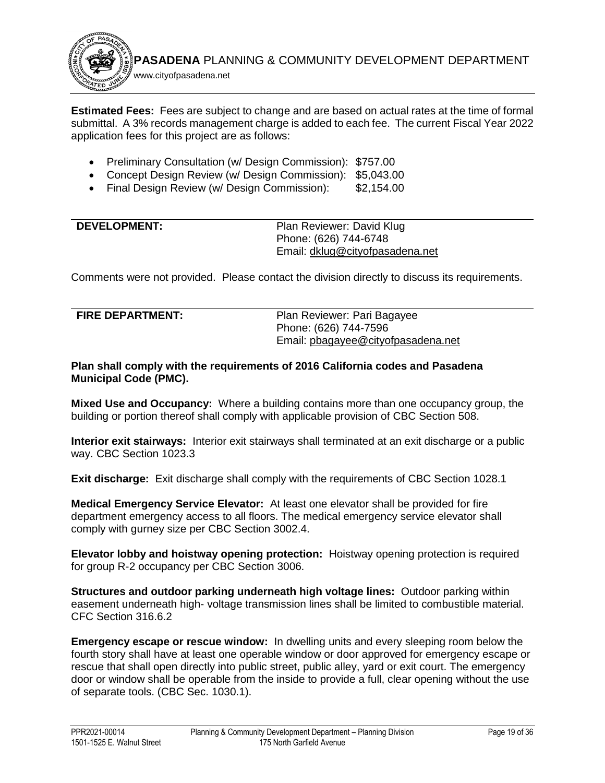

**Estimated Fees:** Fees are subject to change and are based on actual rates at the time of formal submittal. A 3% records management charge is added to each fee. The current Fiscal Year 2022 application fees for this project are as follows:

- Preliminary Consultation (w/ Design Commission): \$757.00
- Concept Design Review (w/ Design Commission): \$5,043.00
- Final Design Review (w/ Design Commission): \$2,154.00

<span id="page-19-0"></span>

| <b>DEVELOPMENT:</b> | Plan Reviewer: David Klug       |
|---------------------|---------------------------------|
|                     | Phone: (626) 744-6748           |
|                     | Email: dklug@cityofpasadena.net |

Comments were not provided. Please contact the division directly to discuss its requirements.

<span id="page-19-1"></span>

| <b>FIRE DEPARTMENT:</b> | Plan Reviewer: Pari Bagayee        |
|-------------------------|------------------------------------|
|                         | Phone: (626) 744-7596              |
|                         | Email: pbagayee@cityofpasadena.net |

**Plan shall comply with the requirements of 2016 California codes and Pasadena Municipal Code (PMC).**

**Mixed Use and Occupancy:** Where a building contains more than one occupancy group, the building or portion thereof shall comply with applicable provision of CBC Section 508.

**Interior exit stairways:** Interior exit stairways shall terminated at an exit discharge or a public way. CBC Section 1023.3

**Exit discharge:** Exit discharge shall comply with the requirements of CBC Section 1028.1

**Medical Emergency Service Elevator:** At least one elevator shall be provided for fire department emergency access to all floors. The medical emergency service elevator shall comply with gurney size per CBC Section 3002.4.

**Elevator lobby and hoistway opening protection:** Hoistway opening protection is required for group R-2 occupancy per CBC Section 3006.

**Structures and outdoor parking underneath high voltage lines:** Outdoor parking within easement underneath high- voltage transmission lines shall be limited to combustible material. CFC Section 316.6.2

**Emergency escape or rescue window:** In dwelling units and every sleeping room below the fourth story shall have at least one operable window or door approved for emergency escape or rescue that shall open directly into public street, public alley, yard or exit court. The emergency door or window shall be operable from the inside to provide a full, clear opening without the use of separate tools. (CBC Sec. 1030.1).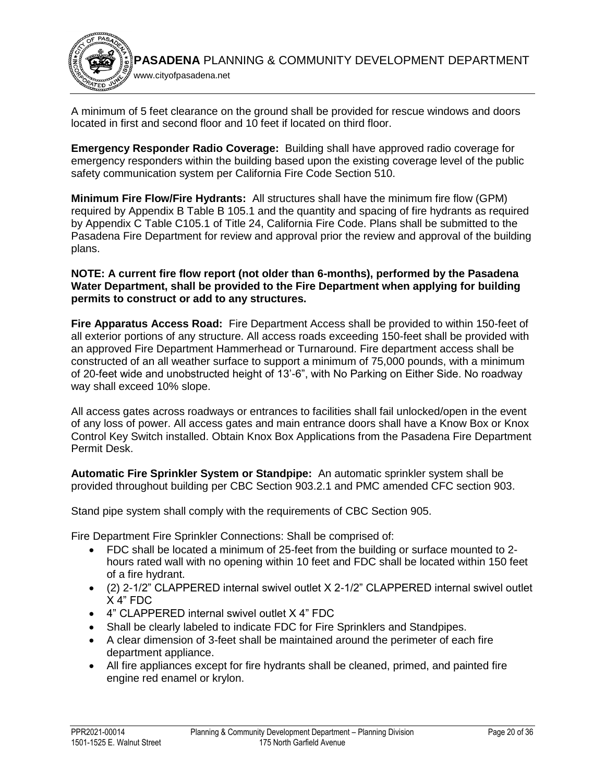

A minimum of 5 feet clearance on the ground shall be provided for rescue windows and doors located in first and second floor and 10 feet if located on third floor.

**Emergency Responder Radio Coverage:** Building shall have approved radio coverage for emergency responders within the building based upon the existing coverage level of the public safety communication system per California Fire Code Section 510.

**Minimum Fire Flow/Fire Hydrants:** All structures shall have the minimum fire flow (GPM) required by Appendix B Table B 105.1 and the quantity and spacing of fire hydrants as required by Appendix C Table C105.1 of Title 24, California Fire Code. Plans shall be submitted to the Pasadena Fire Department for review and approval prior the review and approval of the building plans.

### **NOTE: A current fire flow report (not older than 6-months), performed by the Pasadena Water Department, shall be provided to the Fire Department when applying for building permits to construct or add to any structures.**

**Fire Apparatus Access Road:** Fire Department Access shall be provided to within 150-feet of all exterior portions of any structure. All access roads exceeding 150-feet shall be provided with an approved Fire Department Hammerhead or Turnaround. Fire department access shall be constructed of an all weather surface to support a minimum of 75,000 pounds, with a minimum of 20-feet wide and unobstructed height of 13'-6", with No Parking on Either Side. No roadway way shall exceed 10% slope.

All access gates across roadways or entrances to facilities shall fail unlocked/open in the event of any loss of power. All access gates and main entrance doors shall have a Know Box or Knox Control Key Switch installed. Obtain Knox Box Applications from the Pasadena Fire Department Permit Desk.

**Automatic Fire Sprinkler System or Standpipe:** An automatic sprinkler system shall be provided throughout building per CBC Section 903.2.1 and PMC amended CFC section 903.

Stand pipe system shall comply with the requirements of CBC Section 905.

Fire Department Fire Sprinkler Connections: Shall be comprised of:

- FDC shall be located a minimum of 25-feet from the building or surface mounted to 2 hours rated wall with no opening within 10 feet and FDC shall be located within 150 feet of a fire hydrant.
- (2) 2-1/2" CLAPPERED internal swivel outlet X 2-1/2" CLAPPERED internal swivel outlet X 4" FDC
- 4" CLAPPERED internal swivel outlet X 4" FDC
- Shall be clearly labeled to indicate FDC for Fire Sprinklers and Standpipes.
- A clear dimension of 3-feet shall be maintained around the perimeter of each fire department appliance.
- All fire appliances except for fire hydrants shall be cleaned, primed, and painted fire engine red enamel or krylon.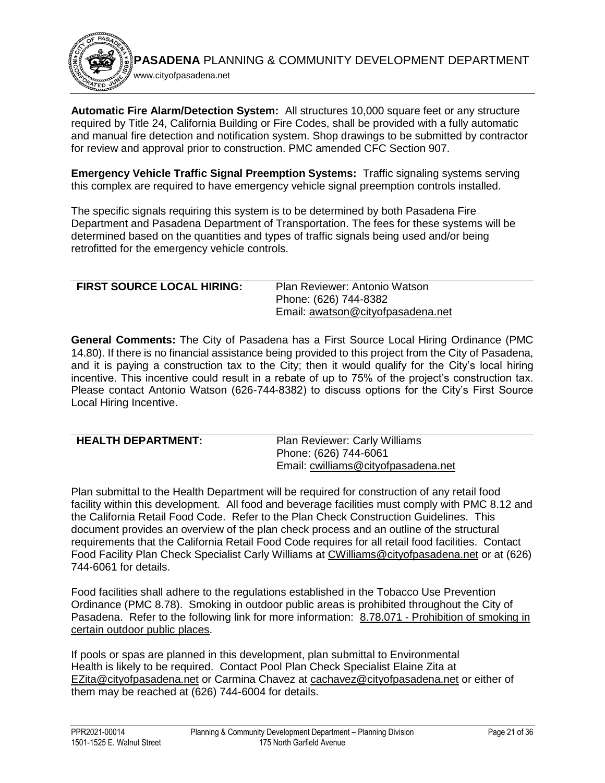**PASADENA** PLANNING & COMMUNITY DEVELOPMENT DEPARTMENT www.cityofpasadena.net

**Automatic Fire Alarm/Detection System:** All structures 10,000 square feet or any structure required by Title 24, California Building or Fire Codes, shall be provided with a fully automatic and manual fire detection and notification system. Shop drawings to be submitted by contractor for review and approval prior to construction. PMC amended CFC Section 907.

**Emergency Vehicle Traffic Signal Preemption Systems:** Traffic signaling systems serving this complex are required to have emergency vehicle signal preemption controls installed.

The specific signals requiring this system is to be determined by both Pasadena Fire Department and Pasadena Department of Transportation. The fees for these systems will be determined based on the quantities and types of traffic signals being used and/or being retrofitted for the emergency vehicle controls.

| <b>FIRST SOURCE LOCAL HIRING:</b> | Plan Reviewer: Antonio Watson     |
|-----------------------------------|-----------------------------------|
|                                   | Phone: (626) 744-8382             |
|                                   | Email: awatson@cityofpasadena.net |

**General Comments:** The City of Pasadena has a First Source Local Hiring Ordinance (PMC 14.80). If there is no financial assistance being provided to this project from the City of Pasadena, and it is paying a construction tax to the City; then it would qualify for the City's local hiring incentive. This incentive could result in a rebate of up to 75% of the project's construction tax. Please contact Antonio Watson (626-744-8382) to discuss options for the City's First Source Local Hiring Incentive.

<span id="page-21-0"></span>

| <b>HEALTH DEPARTMENT:</b> | <b>Plan Reviewer: Carly Williams</b> |
|---------------------------|--------------------------------------|
|                           | Phone: (626) 744-6061                |
|                           | Email: cwilliams@cityofpasadena.net  |
|                           |                                      |

Plan submittal to the Health Department will be required for construction of any retail food facility within this development. All food and beverage facilities must comply with PMC 8.12 and the California Retail Food Code. Refer to the Plan Check Construction Guidelines. This document provides an overview of the plan check process and an outline of the structural requirements that the California Retail Food Code requires for all retail food facilities. Contact Food Facility Plan Check Specialist Carly Williams at [CWilliams@cityofpasadena.net](mailto:CWilliams@cityofpasadena.net) or at (626) 744-6061 for details.

Food facilities shall adhere to the regulations established in the Tobacco Use Prevention Ordinance (PMC 8.78). Smoking in outdoor public areas is prohibited throughout the City of Pasadena. Refer to the following link for more information: 8.78.071 - [Prohibition of smoking in](https://library.municode.com/ca/pasadena/codes/code_of_ordinances?nodeId=TIT8HESA_CH8.78TOUSPROR_8.78.071PRSMCEOUPUPL)  [certain outdoor public places.](https://library.municode.com/ca/pasadena/codes/code_of_ordinances?nodeId=TIT8HESA_CH8.78TOUSPROR_8.78.071PRSMCEOUPUPL)

If pools or spas are planned in this development, plan submittal to Environmental Health is likely to be required. Contact Pool Plan Check Specialist Elaine Zita at [EZita@cityofpasadena.net](mailto:EZita@cityofpasadena.net) or Carmina Chavez at [cachavez@cityofpasadena.net](mailto:cachavez@cityofpasadena.net) or either of them may be reached at (626) 744-6004 for details.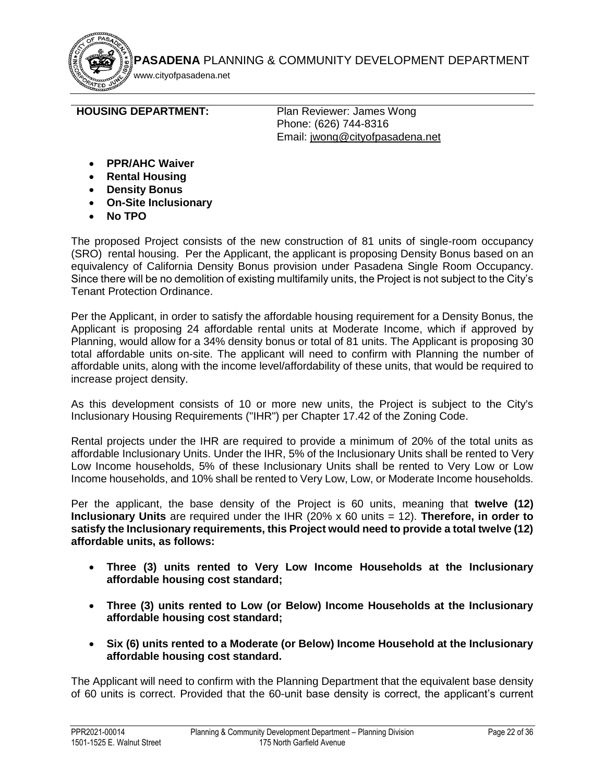www.cityofpasadena.net

<span id="page-22-0"></span>**HOUSING DEPARTMENT:** Plan Reviewer: James Wong

Phone: (626) 744-8316 Email: [jwong@cityofpasadena.net](mailto:jwong@cityofpasadena.net)

- **PPR/AHC Waiver**
- **Rental Housing**
- **Density Bonus**
- **On-Site Inclusionary**
- **No TPO**

The proposed Project consists of the new construction of 81 units of single-room occupancy (SRO) rental housing. Per the Applicant, the applicant is proposing Density Bonus based on an equivalency of California Density Bonus provision under Pasadena Single Room Occupancy. Since there will be no demolition of existing multifamily units, the Project is not subject to the City's Tenant Protection Ordinance.

Per the Applicant, in order to satisfy the affordable housing requirement for a Density Bonus, the Applicant is proposing 24 affordable rental units at Moderate Income, which if approved by Planning, would allow for a 34% density bonus or total of 81 units. The Applicant is proposing 30 total affordable units on-site. The applicant will need to confirm with Planning the number of affordable units, along with the income level/affordability of these units, that would be required to increase project density.

As this development consists of 10 or more new units, the Project is subject to the City's Inclusionary Housing Requirements ("IHR") per Chapter 17.42 of the Zoning Code.

Rental projects under the IHR are required to provide a minimum of 20% of the total units as affordable Inclusionary Units. Under the IHR, 5% of the Inclusionary Units shall be rented to Very Low Income households, 5% of these Inclusionary Units shall be rented to Very Low or Low Income households, and 10% shall be rented to Very Low, Low, or Moderate Income households.

Per the applicant, the base density of the Project is 60 units, meaning that **twelve (12) Inclusionary Units** are required under the IHR (20% x 60 units = 12). **Therefore, in order to satisfy the Inclusionary requirements, this Project would need to provide a total twelve (12) affordable units, as follows:**

- **Three (3) units rented to Very Low Income Households at the Inclusionary affordable housing cost standard;**
- **Three (3) units rented to Low (or Below) Income Households at the Inclusionary affordable housing cost standard;**
- **Six (6) units rented to a Moderate (or Below) Income Household at the Inclusionary affordable housing cost standard.**

The Applicant will need to confirm with the Planning Department that the equivalent base density of 60 units is correct. Provided that the 60-unit base density is correct, the applicant's current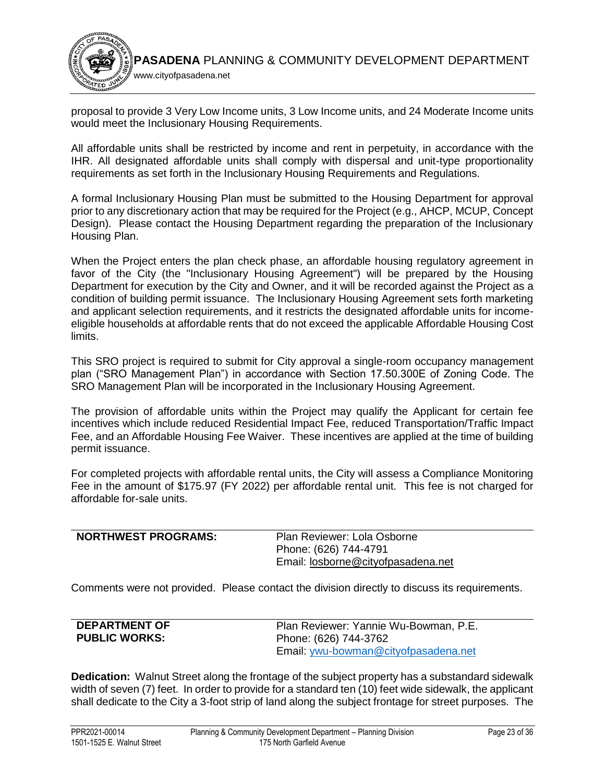

proposal to provide 3 Very Low Income units, 3 Low Income units, and 24 Moderate Income units would meet the Inclusionary Housing Requirements.

All affordable units shall be restricted by income and rent in perpetuity, in accordance with the IHR. All designated affordable units shall comply with dispersal and unit-type proportionality requirements as set forth in the Inclusionary Housing Requirements and Regulations.

A formal Inclusionary Housing Plan must be submitted to the Housing Department for approval prior to any discretionary action that may be required for the Project (e.g., AHCP, MCUP, Concept Design). Please contact the Housing Department regarding the preparation of the Inclusionary Housing Plan.

When the Project enters the plan check phase, an affordable housing regulatory agreement in favor of the City (the "Inclusionary Housing Agreement") will be prepared by the Housing Department for execution by the City and Owner, and it will be recorded against the Project as a condition of building permit issuance. The Inclusionary Housing Agreement sets forth marketing and applicant selection requirements, and it restricts the designated affordable units for incomeeligible households at affordable rents that do not exceed the applicable Affordable Housing Cost limits.

This SRO project is required to submit for City approval a single-room occupancy management plan ("SRO Management Plan") in accordance with Section 17.50.300E of Zoning Code. The SRO Management Plan will be incorporated in the Inclusionary Housing Agreement.

The provision of affordable units within the Project may qualify the Applicant for certain fee incentives which include reduced Residential Impact Fee, reduced Transportation/Traffic Impact Fee, and an Affordable Housing Fee Waiver. These incentives are applied at the time of building permit issuance.

For completed projects with affordable rental units, the City will assess a Compliance Monitoring Fee in the amount of \$175.97 (FY 2022) per affordable rental unit. This fee is not charged for affordable for-sale units.

<span id="page-23-0"></span>

| <b>NORTHWEST PROGRAMS:</b> | Plan Reviewer: Lola Osborne        |
|----------------------------|------------------------------------|
|                            | Phone: (626) 744-4791              |
|                            | Email: losborne@cityofpasadena.net |

Comments were not provided. Please contact the division directly to discuss its requirements.

<span id="page-23-1"></span>

| <b>DEPARTMENT OF</b> | Plan Reviewer: Yannie Wu-Bowman, P.E. |
|----------------------|---------------------------------------|
| <b>PUBLIC WORKS:</b> | Phone: (626) 744-3762                 |
|                      | Email: ywu-bowman@cityofpasadena.net  |

**Dedication:** Walnut Street along the frontage of the subject property has a substandard sidewalk width of seven (7) feet. In order to provide for a standard ten (10) feet wide sidewalk, the applicant shall dedicate to the City a 3-foot strip of land along the subject frontage for street purposes. The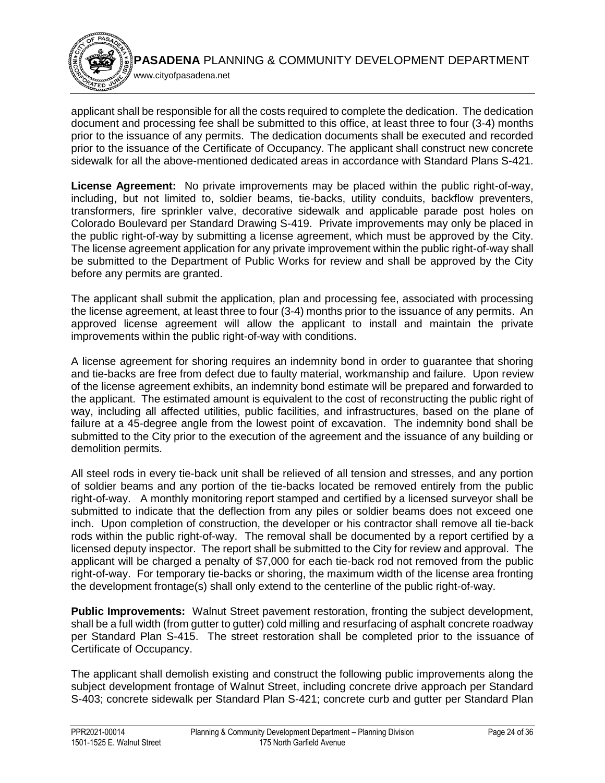

applicant shall be responsible for all the costs required to complete the dedication. The dedication document and processing fee shall be submitted to this office, at least three to four (3-4) months prior to the issuance of any permits. The dedication documents shall be executed and recorded prior to the issuance of the Certificate of Occupancy. The applicant shall construct new concrete sidewalk for all the above-mentioned dedicated areas in accordance with Standard Plans S-421.

**License Agreement:** No private improvements may be placed within the public right-of-way, including, but not limited to, soldier beams, tie-backs, utility conduits, backflow preventers, transformers, fire sprinkler valve, decorative sidewalk and applicable parade post holes on Colorado Boulevard per Standard Drawing S-419. Private improvements may only be placed in the public right-of-way by submitting a license agreement, which must be approved by the City. The license agreement application for any private improvement within the public right-of-way shall be submitted to the Department of Public Works for review and shall be approved by the City before any permits are granted.

The applicant shall submit the application, plan and processing fee, associated with processing the license agreement, at least three to four (3-4) months prior to the issuance of any permits. An approved license agreement will allow the applicant to install and maintain the private improvements within the public right-of-way with conditions.

A license agreement for shoring requires an indemnity bond in order to guarantee that shoring and tie-backs are free from defect due to faulty material, workmanship and failure. Upon review of the license agreement exhibits, an indemnity bond estimate will be prepared and forwarded to the applicant. The estimated amount is equivalent to the cost of reconstructing the public right of way, including all affected utilities, public facilities, and infrastructures, based on the plane of failure at a 45-degree angle from the lowest point of excavation. The indemnity bond shall be submitted to the City prior to the execution of the agreement and the issuance of any building or demolition permits.

All steel rods in every tie-back unit shall be relieved of all tension and stresses, and any portion of soldier beams and any portion of the tie-backs located be removed entirely from the public right-of-way. A monthly monitoring report stamped and certified by a licensed surveyor shall be submitted to indicate that the deflection from any piles or soldier beams does not exceed one inch. Upon completion of construction, the developer or his contractor shall remove all tie-back rods within the public right-of-way. The removal shall be documented by a report certified by a licensed deputy inspector. The report shall be submitted to the City for review and approval. The applicant will be charged a penalty of \$7,000 for each tie-back rod not removed from the public right-of-way. For temporary tie-backs or shoring, the maximum width of the license area fronting the development frontage(s) shall only extend to the centerline of the public right-of-way.

**Public Improvements:** Walnut Street pavement restoration, fronting the subject development, shall be a full width (from gutter to gutter) cold milling and resurfacing of asphalt concrete roadway per Standard Plan S-415. The street restoration shall be completed prior to the issuance of Certificate of Occupancy.

The applicant shall demolish existing and construct the following public improvements along the subject development frontage of Walnut Street, including concrete drive approach per Standard S-403; concrete sidewalk per Standard Plan S-421; concrete curb and gutter per Standard Plan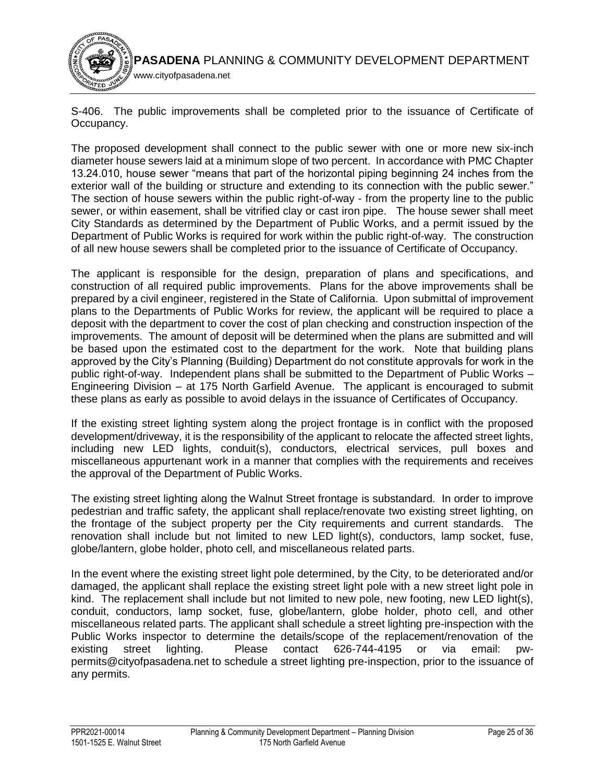

S-406. The public improvements shall be completed prior to the issuance of Certificate of Occupancy.

The proposed development shall connect to the public sewer with one or more new six-inch diameter house sewers laid at a minimum slope of two percent. In accordance with PMC Chapter 13.24.010, house sewer "means that part of the horizontal piping beginning 24 inches from the exterior wall of the building or structure and extending to its connection with the public sewer." The section of house sewers within the public right-of-way - from the property line to the public sewer, or within easement, shall be vitrified clay or cast iron pipe. The house sewer shall meet City Standards as determined by the Department of Public Works, and a permit issued by the Department of Public Works is required for work within the public right-of-way. The construction of all new house sewers shall be completed prior to the issuance of Certificate of Occupancy.

The applicant is responsible for the design, preparation of plans and specifications, and construction of all required public improvements. Plans for the above improvements shall be prepared by a civil engineer, registered in the State of California. Upon submittal of improvement plans to the Departments of Public Works for review, the applicant will be required to place a deposit with the department to cover the cost of plan checking and construction inspection of the improvements. The amount of deposit will be determined when the plans are submitted and will be based upon the estimated cost to the department for the work. Note that building plans approved by the City's Planning (Building) Department do not constitute approvals for work in the public right-of-way. Independent plans shall be submitted to the Department of Public Works – Engineering Division – at 175 North Garfield Avenue. The applicant is encouraged to submit these plans as early as possible to avoid delays in the issuance of Certificates of Occupancy.

If the existing street lighting system along the project frontage is in conflict with the proposed development/driveway, it is the responsibility of the applicant to relocate the affected street lights, including new LED lights, conduit(s), conductors, electrical services, pull boxes and miscellaneous appurtenant work in a manner that complies with the requirements and receives the approval of the Department of Public Works.

The existing street lighting along the Walnut Street frontage is substandard. In order to improve pedestrian and traffic safety, the applicant shall replace/renovate two existing street lighting, on the frontage of the subject property per the City requirements and current standards. The renovation shall include but not limited to new LED light(s), conductors, lamp socket, fuse, globe/lantern, globe holder, photo cell, and miscellaneous related parts.

In the event where the existing street light pole determined, by the City, to be deteriorated and/or damaged, the applicant shall replace the existing street light pole with a new street light pole in kind. The replacement shall include but not limited to new pole, new footing, new LED light(s), conduit, conductors, lamp socket, fuse, globe/lantern, globe holder, photo cell, and other miscellaneous related parts. The applicant shall schedule a street lighting pre-inspection with the Public Works inspector to determine the details/scope of the replacement/renovation of the existing street lighting. Please contact 626-744-4195 or via email: pwpermits@cityofpasadena.net to schedule a street lighting pre-inspection, prior to the issuance of any permits.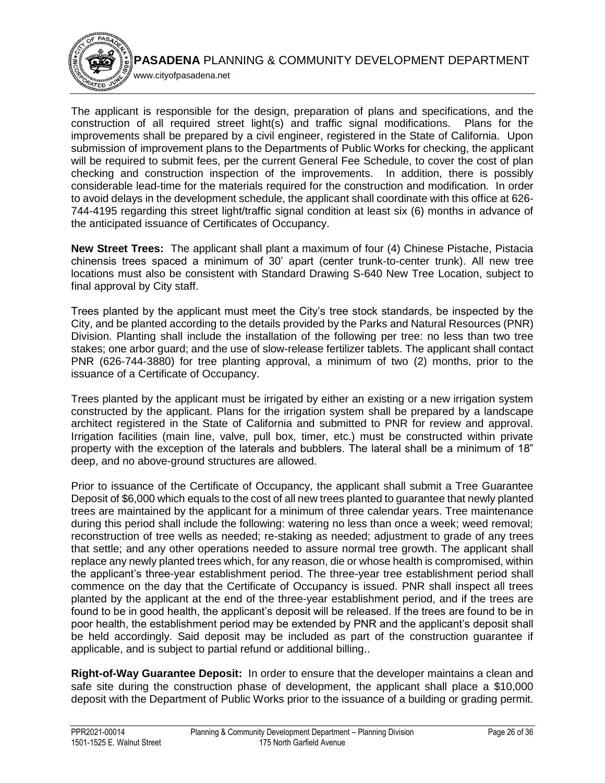

The applicant is responsible for the design, preparation of plans and specifications, and the construction of all required street light(s) and traffic signal modifications. Plans for the improvements shall be prepared by a civil engineer, registered in the State of California. Upon submission of improvement plans to the Departments of Public Works for checking, the applicant will be required to submit fees, per the current General Fee Schedule, to cover the cost of plan checking and construction inspection of the improvements. In addition, there is possibly considerable lead-time for the materials required for the construction and modification. In order to avoid delays in the development schedule, the applicant shall coordinate with this office at 626- 744-4195 regarding this street light/traffic signal condition at least six (6) months in advance of the anticipated issuance of Certificates of Occupancy.

**New Street Trees:** The applicant shall plant a maximum of four (4) Chinese Pistache, Pistacia chinensis trees spaced a minimum of 30' apart (center trunk-to-center trunk). All new tree locations must also be consistent with Standard Drawing S-640 New Tree Location, subject to final approval by City staff.

Trees planted by the applicant must meet the City's tree stock standards, be inspected by the City, and be planted according to the details provided by the Parks and Natural Resources (PNR) Division. Planting shall include the installation of the following per tree: no less than two tree stakes; one arbor guard; and the use of slow-release fertilizer tablets. The applicant shall contact PNR (626-744-3880) for tree planting approval, a minimum of two (2) months, prior to the issuance of a Certificate of Occupancy.

Trees planted by the applicant must be irrigated by either an existing or a new irrigation system constructed by the applicant. Plans for the irrigation system shall be prepared by a landscape architect registered in the State of California and submitted to PNR for review and approval. Irrigation facilities (main line, valve, pull box, timer, etc.) must be constructed within private property with the exception of the laterals and bubblers. The lateral shall be a minimum of 18" deep, and no above-ground structures are allowed.

Prior to issuance of the Certificate of Occupancy, the applicant shall submit a Tree Guarantee Deposit of \$6,000 which equals to the cost of all new trees planted to guarantee that newly planted trees are maintained by the applicant for a minimum of three calendar years. Tree maintenance during this period shall include the following: watering no less than once a week; weed removal; reconstruction of tree wells as needed; re-staking as needed; adjustment to grade of any trees that settle; and any other operations needed to assure normal tree growth. The applicant shall replace any newly planted trees which, for any reason, die or whose health is compromised, within the applicant's three-year establishment period. The three-year tree establishment period shall commence on the day that the Certificate of Occupancy is issued. PNR shall inspect all trees planted by the applicant at the end of the three-year establishment period, and if the trees are found to be in good health, the applicant's deposit will be released. If the trees are found to be in poor health, the establishment period may be extended by PNR and the applicant's deposit shall be held accordingly. Said deposit may be included as part of the construction guarantee if applicable, and is subject to partial refund or additional billing..

**Right-of-Way Guarantee Deposit:** In order to ensure that the developer maintains a clean and safe site during the construction phase of development, the applicant shall place a \$10,000 deposit with the Department of Public Works prior to the issuance of a building or grading permit.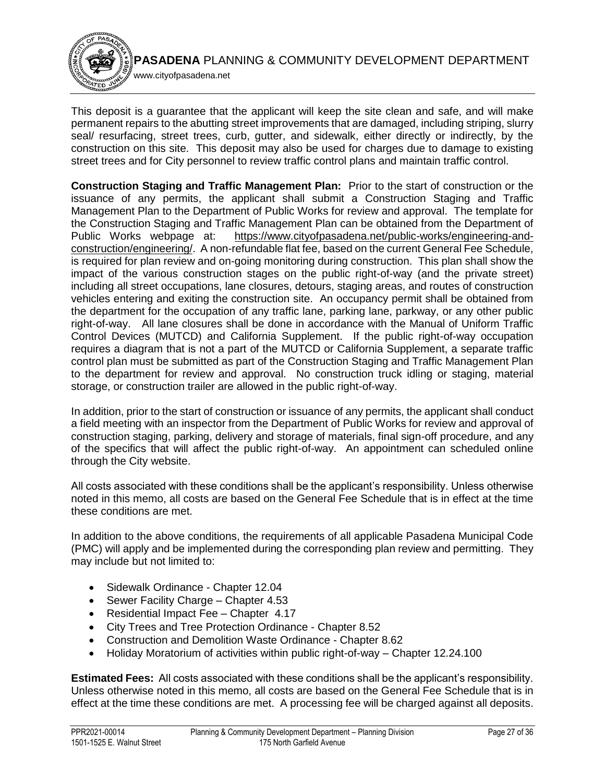

This deposit is a guarantee that the applicant will keep the site clean and safe, and will make permanent repairs to the abutting street improvements that are damaged, including striping, slurry seal/ resurfacing, street trees, curb, gutter, and sidewalk, either directly or indirectly, by the construction on this site. This deposit may also be used for charges due to damage to existing street trees and for City personnel to review traffic control plans and maintain traffic control.

**Construction Staging and Traffic Management Plan:** Prior to the start of construction or the issuance of any permits, the applicant shall submit a Construction Staging and Traffic Management Plan to the Department of Public Works for review and approval. The template for the Construction Staging and Traffic Management Plan can be obtained from the Department of Public Works webpage at: [https://www.cityofpasadena.net/public-works/engineering-and](https://www.cityofpasadena.net/public-works/engineering-and-construction/engineering/)[construction/engineering/.](https://www.cityofpasadena.net/public-works/engineering-and-construction/engineering/) A non-refundable flat fee, based on the current General Fee Schedule, is required for plan review and on-going monitoring during construction. This plan shall show the impact of the various construction stages on the public right-of-way (and the private street) including all street occupations, lane closures, detours, staging areas, and routes of construction vehicles entering and exiting the construction site. An occupancy permit shall be obtained from the department for the occupation of any traffic lane, parking lane, parkway, or any other public right-of-way. All lane closures shall be done in accordance with the Manual of Uniform Traffic Control Devices (MUTCD) and California Supplement. If the public right-of-way occupation requires a diagram that is not a part of the MUTCD or California Supplement, a separate traffic control plan must be submitted as part of the Construction Staging and Traffic Management Plan to the department for review and approval. No construction truck idling or staging, material storage, or construction trailer are allowed in the public right-of-way.

In addition, prior to the start of construction or issuance of any permits, the applicant shall conduct a field meeting with an inspector from the Department of Public Works for review and approval of construction staging, parking, delivery and storage of materials, final sign-off procedure, and any of the specifics that will affect the public right-of-way. An appointment can scheduled online through the City website.

All costs associated with these conditions shall be the applicant's responsibility. Unless otherwise noted in this memo, all costs are based on the General Fee Schedule that is in effect at the time these conditions are met.

In addition to the above conditions, the requirements of all applicable Pasadena Municipal Code (PMC) will apply and be implemented during the corresponding plan review and permitting. They may include but not limited to:

- Sidewalk Ordinance Chapter 12.04
- Sewer Facility Charge Chapter 4.53
- Residential Impact Fee Chapter 4.17
- City Trees and Tree Protection Ordinance Chapter 8.52
- Construction and Demolition Waste Ordinance Chapter 8.62
- Holiday Moratorium of activities within public right-of-way Chapter 12.24.100

**Estimated Fees:** All costs associated with these conditions shall be the applicant's responsibility. Unless otherwise noted in this memo, all costs are based on the General Fee Schedule that is in effect at the time these conditions are met. A processing fee will be charged against all deposits.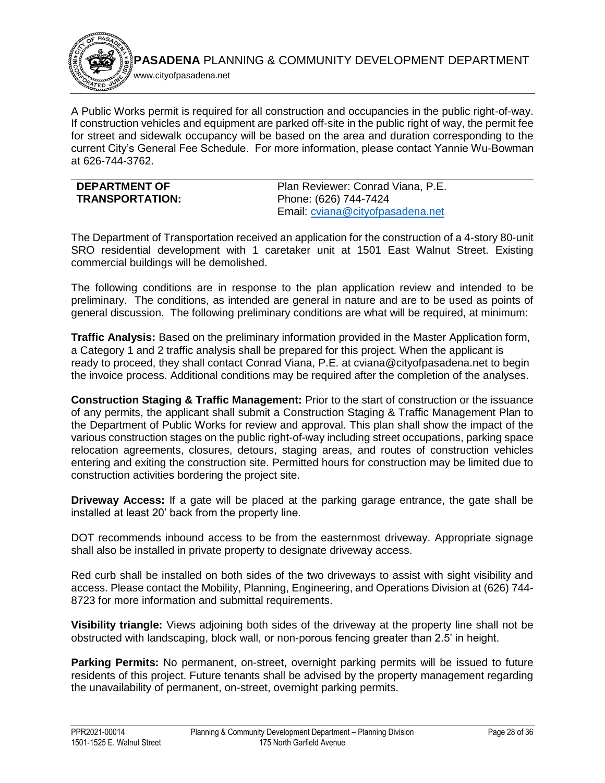

A Public Works permit is required for all construction and occupancies in the public right-of-way. If construction vehicles and equipment are parked off-site in the public right of way, the permit fee for street and sidewalk occupancy will be based on the area and duration corresponding to the current City's General Fee Schedule. For more information, please contact Yannie Wu-Bowman at 626-744-3762.

<span id="page-28-0"></span>

| <b>DEPARTMENT OF</b>   | Plan Reviewer: Conrad Viana, P.E. |
|------------------------|-----------------------------------|
| <b>TRANSPORTATION:</b> | Phone: (626) 744-7424             |
|                        | Email: cviana@cityofpasadena.net  |

The Department of Transportation received an application for the construction of a 4-story 80-unit SRO residential development with 1 caretaker unit at 1501 East Walnut Street. Existing commercial buildings will be demolished.

The following conditions are in response to the plan application review and intended to be preliminary. The conditions, as intended are general in nature and are to be used as points of general discussion. The following preliminary conditions are what will be required, at minimum:

**Traffic Analysis:** Based on the preliminary information provided in the Master Application form, a Category 1 and 2 traffic analysis shall be prepared for this project. When the applicant is ready to proceed, they shall contact Conrad Viana, P.E. at cviana@cityofpasadena.net to begin the invoice process. Additional conditions may be required after the completion of the analyses.

**Construction Staging & Traffic Management:** Prior to the start of construction or the issuance of any permits, the applicant shall submit a Construction Staging & Traffic Management Plan to the Department of Public Works for review and approval. This plan shall show the impact of the various construction stages on the public right-of-way including street occupations, parking space relocation agreements, closures, detours, staging areas, and routes of construction vehicles entering and exiting the construction site. Permitted hours for construction may be limited due to construction activities bordering the project site.

**Driveway Access:** If a gate will be placed at the parking garage entrance, the gate shall be installed at least 20' back from the property line.

DOT recommends inbound access to be from the easternmost driveway. Appropriate signage shall also be installed in private property to designate driveway access.

Red curb shall be installed on both sides of the two driveways to assist with sight visibility and access. Please contact the Mobility, Planning, Engineering, and Operations Division at (626) 744- 8723 for more information and submittal requirements.

**Visibility triangle:** Views adjoining both sides of the driveway at the property line shall not be obstructed with landscaping, block wall, or non-porous fencing greater than 2.5' in height.

**Parking Permits:** No permanent, on-street, overnight parking permits will be issued to future residents of this project. Future tenants shall be advised by the property management regarding the unavailability of permanent, on-street, overnight parking permits.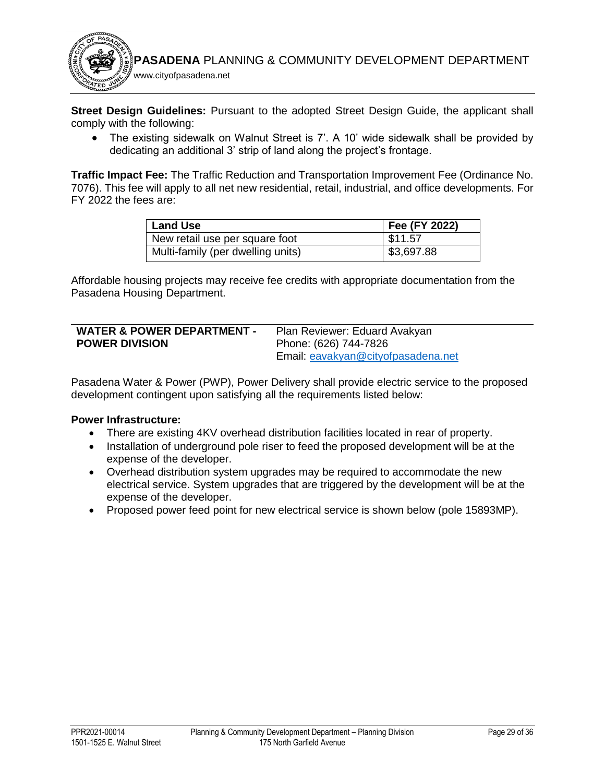

**Street Design Guidelines:** Pursuant to the adopted Street Design Guide, the applicant shall comply with the following:

• The existing sidewalk on Walnut Street is 7'. A 10' wide sidewalk shall be provided by dedicating an additional 3' strip of land along the project's frontage.

**Traffic Impact Fee:** The Traffic Reduction and Transportation Improvement Fee (Ordinance No. 7076). This fee will apply to all net new residential, retail, industrial, and office developments. For FY 2022 the fees are:

| <b>Land Use</b>                   | Fee (FY 2022) |
|-----------------------------------|---------------|
| New retail use per square foot    | \$11.57       |
| Multi-family (per dwelling units) | \$3,697.88    |

Affordable housing projects may receive fee credits with appropriate documentation from the Pasadena Housing Department.

<span id="page-29-0"></span>

| <b>WATER &amp; POWER DEPARTMENT -</b> | Plan Reviewer: Eduard Avakyan      |
|---------------------------------------|------------------------------------|
| <b>POWER DIVISION</b>                 | Phone: (626) 744-7826              |
|                                       | Email: eavakyan@cityofpasadena.net |

Pasadena Water & Power (PWP), Power Delivery shall provide electric service to the proposed development contingent upon satisfying all the requirements listed below:

### **Power Infrastructure:**

- There are existing 4KV overhead distribution facilities located in rear of property.
- Installation of underground pole riser to feed the proposed development will be at the expense of the developer.
- Overhead distribution system upgrades may be required to accommodate the new electrical service. System upgrades that are triggered by the development will be at the expense of the developer.
- Proposed power feed point for new electrical service is shown below (pole 15893MP).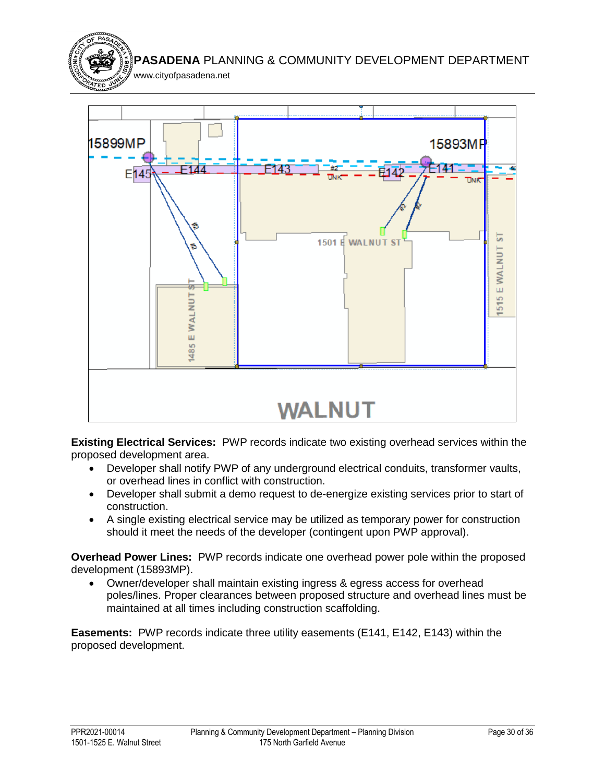



**Existing Electrical Services:** PWP records indicate two existing overhead services within the proposed development area.

- Developer shall notify PWP of any underground electrical conduits, transformer vaults, or overhead lines in conflict with construction.
- Developer shall submit a demo request to de-energize existing services prior to start of construction.
- A single existing electrical service may be utilized as temporary power for construction should it meet the needs of the developer (contingent upon PWP approval).

**Overhead Power Lines:** PWP records indicate one overhead power pole within the proposed development (15893MP).

 Owner/developer shall maintain existing ingress & egress access for overhead poles/lines. Proper clearances between proposed structure and overhead lines must be maintained at all times including construction scaffolding.

**Easements:** PWP records indicate three utility easements (E141, E142, E143) within the proposed development.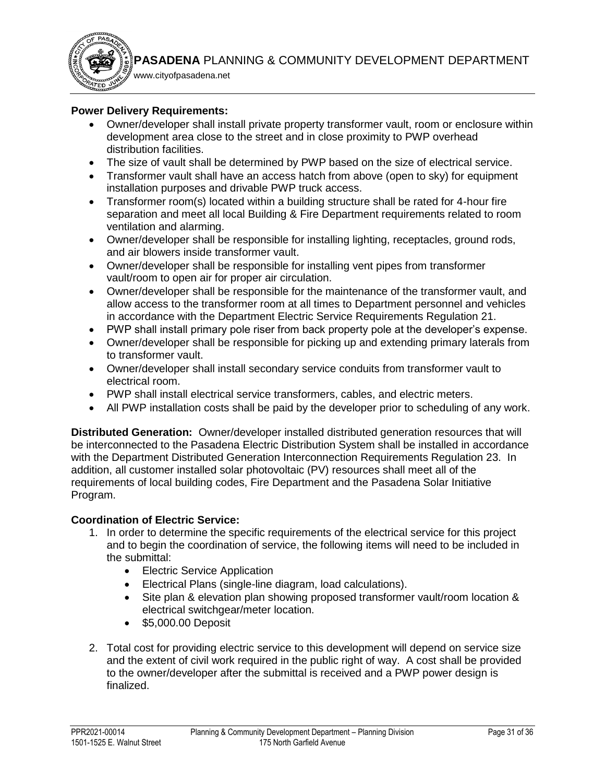

www.cityofpasadena.net

### **Power Delivery Requirements:**

- Owner/developer shall install private property transformer vault, room or enclosure within development area close to the street and in close proximity to PWP overhead distribution facilities.
- The size of vault shall be determined by PWP based on the size of electrical service.
- Transformer vault shall have an access hatch from above (open to sky) for equipment installation purposes and drivable PWP truck access.
- Transformer room(s) located within a building structure shall be rated for 4-hour fire separation and meet all local Building & Fire Department requirements related to room ventilation and alarming.
- Owner/developer shall be responsible for installing lighting, receptacles, ground rods, and air blowers inside transformer vault.
- Owner/developer shall be responsible for installing vent pipes from transformer vault/room to open air for proper air circulation.
- Owner/developer shall be responsible for the maintenance of the transformer vault, and allow access to the transformer room at all times to Department personnel and vehicles in accordance with the Department Electric Service Requirements Regulation 21.
- PWP shall install primary pole riser from back property pole at the developer's expense.
- Owner/developer shall be responsible for picking up and extending primary laterals from to transformer vault.
- Owner/developer shall install secondary service conduits from transformer vault to electrical room.
- PWP shall install electrical service transformers, cables, and electric meters.
- All PWP installation costs shall be paid by the developer prior to scheduling of any work.

**Distributed Generation:** Owner/developer installed distributed generation resources that will be interconnected to the Pasadena Electric Distribution System shall be installed in accordance with the Department Distributed Generation Interconnection Requirements Regulation 23. In addition, all customer installed solar photovoltaic (PV) resources shall meet all of the requirements of local building codes, Fire Department and the Pasadena Solar Initiative Program.

# **Coordination of Electric Service:**

- 1. In order to determine the specific requirements of the electrical service for this project and to begin the coordination of service, the following items will need to be included in the submittal:
	- Electric Service Application
	- Electrical Plans (single-line diagram, load calculations).
	- Site plan & elevation plan showing proposed transformer vault/room location & electrical switchgear/meter location.
	- \$5,000.00 Deposit
- 2. Total cost for providing electric service to this development will depend on service size and the extent of civil work required in the public right of way. A cost shall be provided to the owner/developer after the submittal is received and a PWP power design is finalized.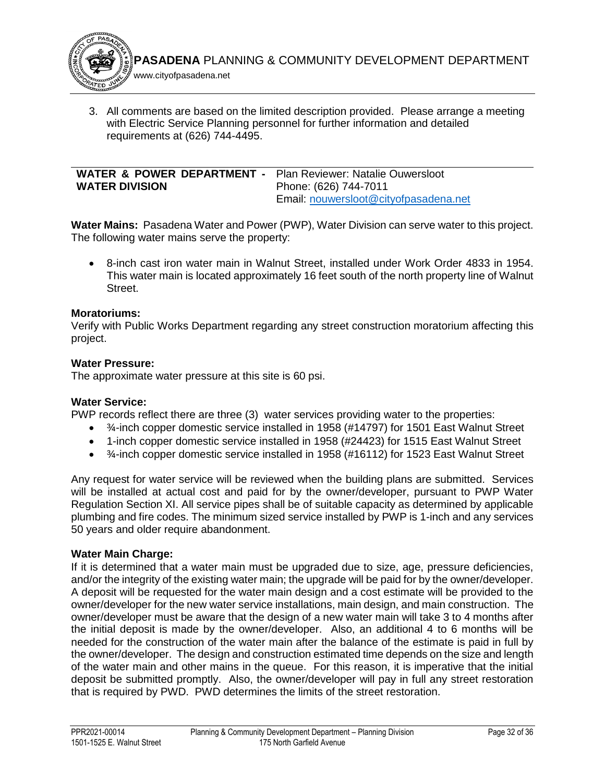

3. All comments are based on the limited description provided. Please arrange a meeting with Electric Service Planning personnel for further information and detailed requirements at (626) 744-4495.

<span id="page-32-0"></span>

| <b>WATER &amp; POWER DEPARTMENT - Plan Reviewer: Natalie Ouwersloot</b><br><b>WATER DIVISION</b> | Phone: (626) 744-7011                 |
|--------------------------------------------------------------------------------------------------|---------------------------------------|
|                                                                                                  | Email: nouwersloot@cityofpasadena.net |

**Water Mains:** Pasadena Water and Power (PWP), Water Division can serve water to this project. The following water mains serve the property:

 8-inch cast iron water main in Walnut Street, installed under Work Order 4833 in 1954. This water main is located approximately 16 feet south of the north property line of Walnut Street.

#### **Moratoriums:**

Verify with Public Works Department regarding any street construction moratorium affecting this project.

#### **Water Pressure:**

The approximate water pressure at this site is 60 psi.

#### **Water Service:**

PWP records reflect there are three (3) water services providing water to the properties:

- 3/-inch copper domestic service installed in 1958 (#14797) for 1501 East Walnut Street
- 1-inch copper domestic service installed in 1958 (#24423) for 1515 East Walnut Street
- ¾-inch copper domestic service installed in 1958 (#16112) for 1523 East Walnut Street

Any request for water service will be reviewed when the building plans are submitted. Services will be installed at actual cost and paid for by the owner/developer, pursuant to PWP Water Regulation Section XI. All service pipes shall be of suitable capacity as determined by applicable plumbing and fire codes. The minimum sized service installed by PWP is 1-inch and any services 50 years and older require abandonment.

### **Water Main Charge:**

If it is determined that a water main must be upgraded due to size, age, pressure deficiencies, and/or the integrity of the existing water main; the upgrade will be paid for by the owner/developer. A deposit will be requested for the water main design and a cost estimate will be provided to the owner/developer for the new water service installations, main design, and main construction. The owner/developer must be aware that the design of a new water main will take 3 to 4 months after the initial deposit is made by the owner/developer. Also, an additional 4 to 6 months will be needed for the construction of the water main after the balance of the estimate is paid in full by the owner/developer. The design and construction estimated time depends on the size and length of the water main and other mains in the queue. For this reason, it is imperative that the initial deposit be submitted promptly. Also, the owner/developer will pay in full any street restoration that is required by PWD. PWD determines the limits of the street restoration.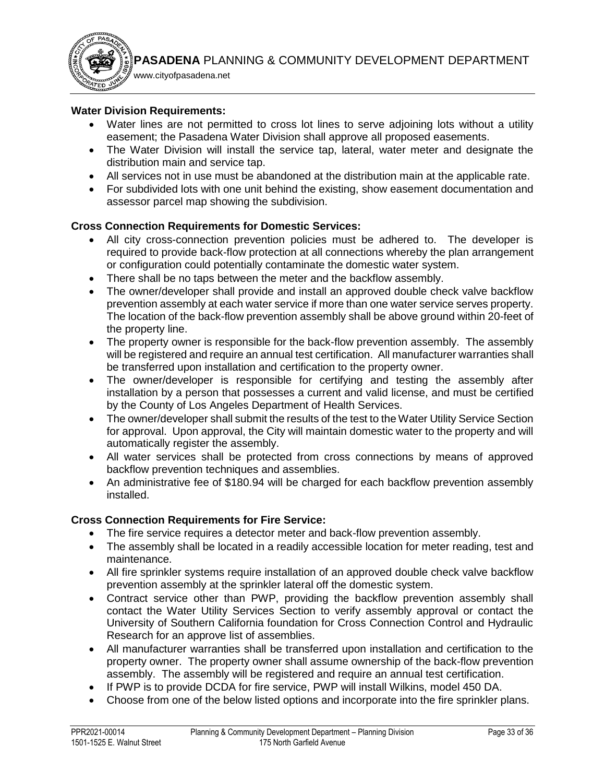

www.cityofpasadena.net

### **Water Division Requirements:**

- Water lines are not permitted to cross lot lines to serve adjoining lots without a utility easement; the Pasadena Water Division shall approve all proposed easements.
- The Water Division will install the service tap, lateral, water meter and designate the distribution main and service tap.
- All services not in use must be abandoned at the distribution main at the applicable rate.
- For subdivided lots with one unit behind the existing, show easement documentation and assessor parcel map showing the subdivision.

### **Cross Connection Requirements for Domestic Services:**

- All city cross-connection prevention policies must be adhered to. The developer is required to provide back-flow protection at all connections whereby the plan arrangement or configuration could potentially contaminate the domestic water system.
- There shall be no taps between the meter and the backflow assembly.
- The owner/developer shall provide and install an approved double check valve backflow prevention assembly at each water service if more than one water service serves property. The location of the back-flow prevention assembly shall be above ground within 20-feet of the property line.
- The property owner is responsible for the back-flow prevention assembly. The assembly will be registered and require an annual test certification. All manufacturer warranties shall be transferred upon installation and certification to the property owner.
- The owner/developer is responsible for certifying and testing the assembly after installation by a person that possesses a current and valid license, and must be certified by the County of Los Angeles Department of Health Services.
- The owner/developer shall submit the results of the test to the Water Utility Service Section for approval. Upon approval, the City will maintain domestic water to the property and will automatically register the assembly.
- All water services shall be protected from cross connections by means of approved backflow prevention techniques and assemblies.
- An administrative fee of \$180.94 will be charged for each backflow prevention assembly installed.

### **Cross Connection Requirements for Fire Service:**

- The fire service requires a detector meter and back-flow prevention assembly.
- The assembly shall be located in a readily accessible location for meter reading, test and maintenance.
- All fire sprinkler systems require installation of an approved double check valve backflow prevention assembly at the sprinkler lateral off the domestic system.
- Contract service other than PWP, providing the backflow prevention assembly shall contact the Water Utility Services Section to verify assembly approval or contact the University of Southern California foundation for Cross Connection Control and Hydraulic Research for an approve list of assemblies.
- All manufacturer warranties shall be transferred upon installation and certification to the property owner. The property owner shall assume ownership of the back-flow prevention assembly. The assembly will be registered and require an annual test certification.
- If PWP is to provide DCDA for fire service, PWP will install Wilkins, model 450 DA.
- Choose from one of the below listed options and incorporate into the fire sprinkler plans.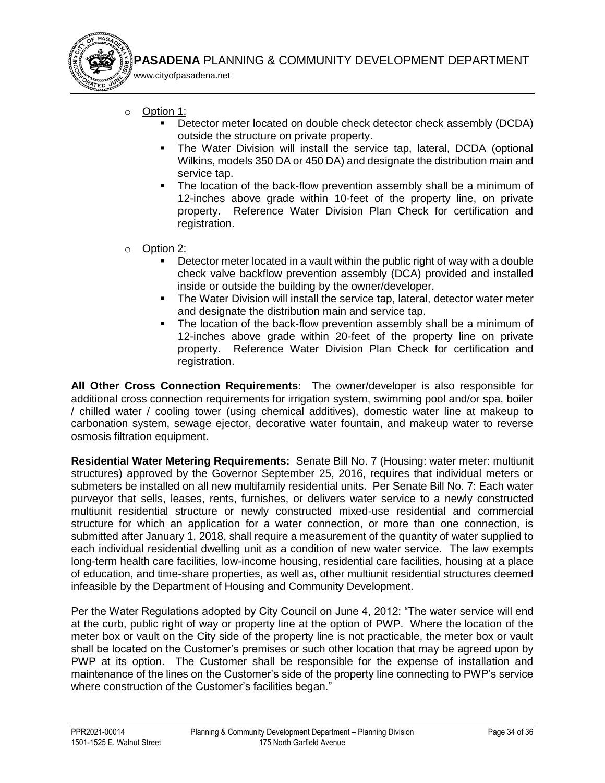o Option 1:

www.cityofpasadena.net

- Detector meter located on double check detector check assembly (DCDA) outside the structure on private property.
- The Water Division will install the service tap, lateral, DCDA (optional Wilkins, models 350 DA or 450 DA) and designate the distribution main and service tap.
- The location of the back-flow prevention assembly shall be a minimum of 12-inches above grade within 10-feet of the property line, on private property. Reference Water Division Plan Check for certification and registration.
- o Option 2:
	- Detector meter located in a vault within the public right of way with a double check valve backflow prevention assembly (DCA) provided and installed inside or outside the building by the owner/developer.
	- The Water Division will install the service tap, lateral, detector water meter and designate the distribution main and service tap.
	- The location of the back-flow prevention assembly shall be a minimum of 12-inches above grade within 20-feet of the property line on private property. Reference Water Division Plan Check for certification and registration.

**All Other Cross Connection Requirements:** The owner/developer is also responsible for additional cross connection requirements for irrigation system, swimming pool and/or spa, boiler / chilled water / cooling tower (using chemical additives), domestic water line at makeup to carbonation system, sewage ejector, decorative water fountain, and makeup water to reverse osmosis filtration equipment.

**Residential Water Metering Requirements:** Senate Bill No. 7 (Housing: water meter: multiunit structures) approved by the Governor September 25, 2016, requires that individual meters or submeters be installed on all new multifamily residential units. Per Senate Bill No. 7: Each water purveyor that sells, leases, rents, furnishes, or delivers water service to a newly constructed multiunit residential structure or newly constructed mixed-use residential and commercial structure for which an application for a water connection, or more than one connection, is submitted after January 1, 2018, shall require a measurement of the quantity of water supplied to each individual residential dwelling unit as a condition of new water service. The law exempts long-term health care facilities, low-income housing, residential care facilities, housing at a place of education, and time-share properties, as well as, other multiunit residential structures deemed infeasible by the Department of Housing and Community Development.

Per the Water Regulations adopted by City Council on June 4, 2012: "The water service will end at the curb, public right of way or property line at the option of PWP. Where the location of the meter box or vault on the City side of the property line is not practicable, the meter box or vault shall be located on the Customer's premises or such other location that may be agreed upon by PWP at its option. The Customer shall be responsible for the expense of installation and maintenance of the lines on the Customer's side of the property line connecting to PWP's service where construction of the Customer's facilities began."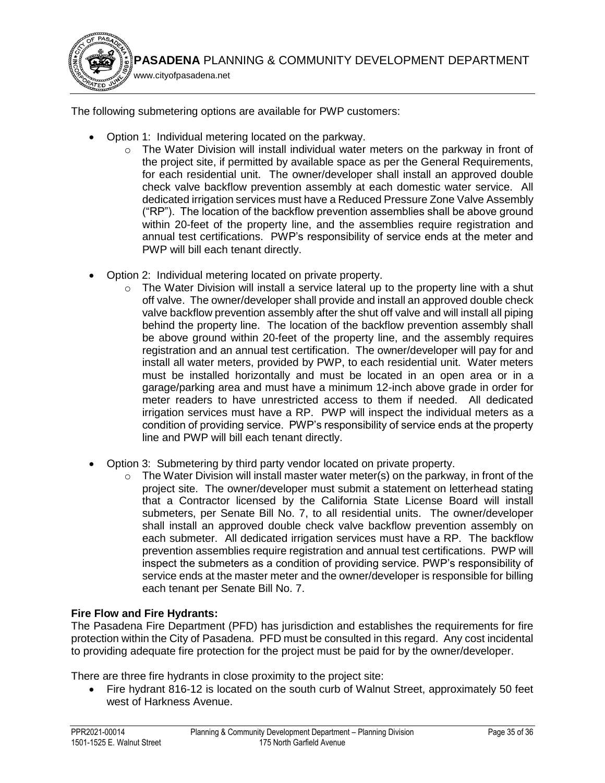

The following submetering options are available for PWP customers:

- Option 1: Individual metering located on the parkway.
	- $\circ$  The Water Division will install individual water meters on the parkway in front of the project site, if permitted by available space as per the General Requirements, for each residential unit. The owner/developer shall install an approved double check valve backflow prevention assembly at each domestic water service. All dedicated irrigation services must have a Reduced Pressure Zone Valve Assembly ("RP"). The location of the backflow prevention assemblies shall be above ground within 20-feet of the property line, and the assemblies require registration and annual test certifications. PWP's responsibility of service ends at the meter and PWP will bill each tenant directly.
- Option 2: Individual metering located on private property.
	- o The Water Division will install a service lateral up to the property line with a shut off valve. The owner/developer shall provide and install an approved double check valve backflow prevention assembly after the shut off valve and will install all piping behind the property line. The location of the backflow prevention assembly shall be above ground within 20-feet of the property line, and the assembly requires registration and an annual test certification. The owner/developer will pay for and install all water meters, provided by PWP, to each residential unit. Water meters must be installed horizontally and must be located in an open area or in a garage/parking area and must have a minimum 12-inch above grade in order for meter readers to have unrestricted access to them if needed. All dedicated irrigation services must have a RP. PWP will inspect the individual meters as a condition of providing service. PWP's responsibility of service ends at the property line and PWP will bill each tenant directly.
- Option 3: Submetering by third party vendor located on private property.
	- o The Water Division will install master water meter(s) on the parkway, in front of the project site. The owner/developer must submit a statement on letterhead stating that a Contractor licensed by the California State License Board will install submeters, per Senate Bill No. 7, to all residential units. The owner/developer shall install an approved double check valve backflow prevention assembly on each submeter. All dedicated irrigation services must have a RP. The backflow prevention assemblies require registration and annual test certifications. PWP will inspect the submeters as a condition of providing service. PWP's responsibility of service ends at the master meter and the owner/developer is responsible for billing each tenant per Senate Bill No. 7.

# **Fire Flow and Fire Hydrants:**

The Pasadena Fire Department (PFD) has jurisdiction and establishes the requirements for fire protection within the City of Pasadena. PFD must be consulted in this regard. Any cost incidental to providing adequate fire protection for the project must be paid for by the owner/developer.

There are three fire hydrants in close proximity to the project site:

 Fire hydrant 816-12 is located on the south curb of Walnut Street, approximately 50 feet west of Harkness Avenue.